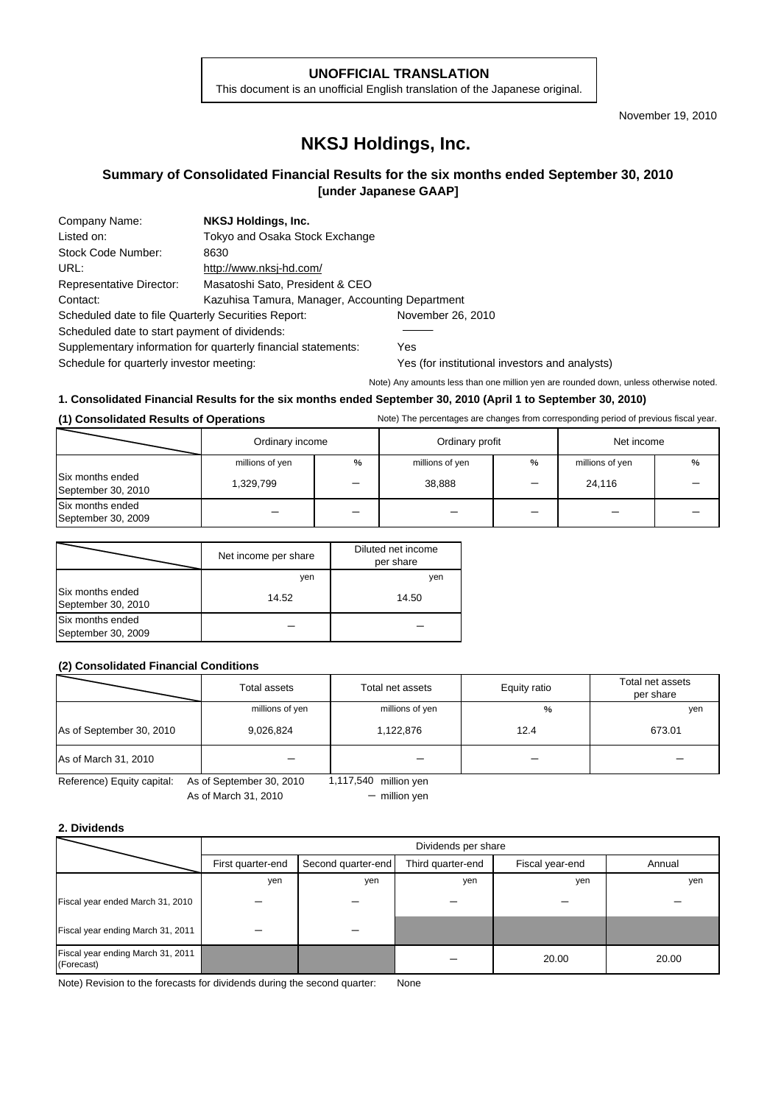#### **UNOFFICIAL TRANSLATION**

This document is an unofficial English translation of the Japanese original.

November 19, 2010

# **NKSJ Holdings, Inc.**

### **Summary of Consolidated Financial Results for the six months ended September 30, 2010 [under Japanese GAAP]**

| Company Name:                                       | NKSJ Holdings, Inc.                                           |                                                |  |  |
|-----------------------------------------------------|---------------------------------------------------------------|------------------------------------------------|--|--|
| Listed on:                                          | Tokyo and Osaka Stock Exchange                                |                                                |  |  |
| Stock Code Number:                                  | 8630                                                          |                                                |  |  |
| URL:                                                | http://www.nksj-hd.com/                                       |                                                |  |  |
| Representative Director:                            | Masatoshi Sato, President & CEO                               |                                                |  |  |
| Contact:                                            | Kazuhisa Tamura, Manager, Accounting Department               |                                                |  |  |
| Scheduled date to file Quarterly Securities Report: |                                                               | November 26, 2010                              |  |  |
| Scheduled date to start payment of dividends:       |                                                               |                                                |  |  |
|                                                     | Supplementary information for quarterly financial statements: | Yes                                            |  |  |
| Schedule for quarterly investor meeting:            |                                                               | Yes (for institutional investors and analysts) |  |  |

Note) Any amounts less than one million yen are rounded down, unless otherwise noted.

#### **1. Consolidated Financial Results for the six months ended September 30, 2010 (April 1 to September 30, 2010)**

#### (1) Consolidated Results of Operations **Notel Consolidated Results of Operations** Note) The percentages are changes from corresponding period of previous fiscal year.

|                                        | Ordinary income |   | Ordinary profit |   | Net income      |   |
|----------------------------------------|-----------------|---|-----------------|---|-----------------|---|
|                                        | millions of yen | % | millions of yen | % | millions of yen | % |
| Six months ended<br>September 30, 2010 | 1,329,799       |   | 38,888          | - | 24,116          |   |
| Six months ended<br>September 30, 2009 |                 |   |                 |   |                 |   |

|                                        | Net income per share | Diluted net income<br>per share |
|----------------------------------------|----------------------|---------------------------------|
|                                        | yen                  | yen                             |
| Six months ended<br>September 30, 2010 | 14.52                | 14.50                           |
| Six months ended<br>September 30, 2009 |                      |                                 |

### **(2) Consolidated Financial Conditions**

|                          | Total assets    | Total net assets | Equity ratio | Total net assets<br>per share |
|--------------------------|-----------------|------------------|--------------|-------------------------------|
|                          | millions of yen | millions of yen  | %            | yen                           |
| As of September 30, 2010 | 9,026,824       | 1,122,876        | 12.4         | 673.01                        |
| As of March 31, 2010     |                 |                  |              |                               |

Reference) Equity capital: As of September 30, 2010 1,117,540 million yen As of March 31, 2010 - million yen

### **2. Dividends**

|                                                 |                   | Dividends per share |                   |                 |        |  |  |  |
|-------------------------------------------------|-------------------|---------------------|-------------------|-----------------|--------|--|--|--|
|                                                 | First quarter-end | Second quarter-end  | Third quarter-end | Fiscal year-end | Annual |  |  |  |
|                                                 | yen               | yen                 | yen               | yen             | yen    |  |  |  |
| Fiscal year ended March 31, 2010                |                   |                     |                   |                 |        |  |  |  |
| Fiscal year ending March 31, 2011               |                   |                     |                   |                 |        |  |  |  |
| Fiscal year ending March 31, 2011<br>(Forecast) |                   |                     |                   | 20.00           | 20.00  |  |  |  |

Note) Revision to the forecasts for dividends during the second quarter: None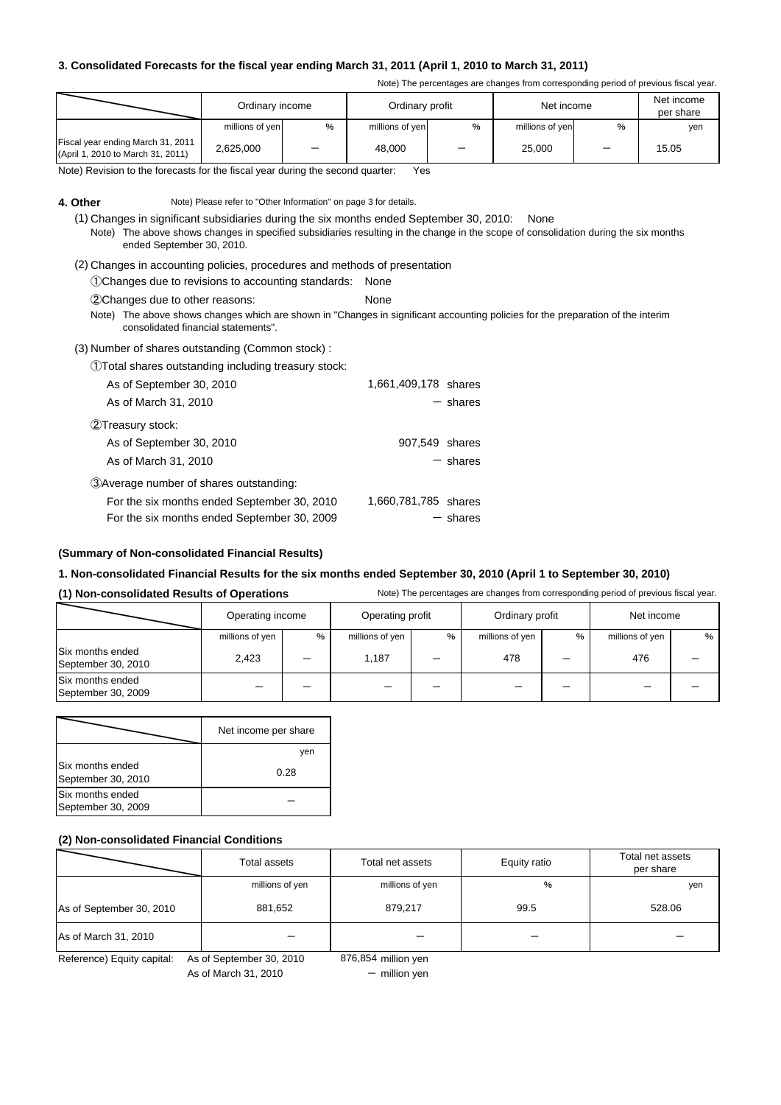#### **3. Consolidated Forecasts for the fiscal year ending March 31, 2011 (April 1, 2010 to March 31, 2011)**

Note) The percentages are changes from corresponding period of previous fiscal year.

|                                                                        | Ordinary income |               | Ordinary profit |   | Net income      |   | Net income<br>per share |
|------------------------------------------------------------------------|-----------------|---------------|-----------------|---|-----------------|---|-------------------------|
|                                                                        | millions of yen | $\frac{0}{6}$ | millions of yen | % | millions of yen | % | yen                     |
| Fiscal year ending March 31, 2011<br>(April 1, 2010 to March 31, 2011) | 2,625,000       |               | 48,000          |   | 25,000          |   | 15.05                   |

Note) Revision to the forecasts for the fiscal year during the second quarter: Yes

**4. Other** Note) Please refer to "Other Information" on page 3 for details.

(1) Changes in significant subsidiaries during the six months ended September 30, 2010: None

- (2) Changes in accounting policies, procedures and methods of presentation
	- ①Changes due to revisions to accounting standards: None

②Changes due to other reasons: None

Note) The above shows changes which are shown in "Changes in significant accounting policies for the preparation of the interim consolidated financial statements".

#### (3) Number of shares outstanding (Common stock) :

①Total shares outstanding including treasury stock:

| As of September 30, 2010<br>As of March 31, 2010 | 1,661,409,178 shares | $-$ shares |
|--------------------------------------------------|----------------------|------------|
| 2)Treasury stock:                                |                      |            |
| As of September 30, 2010                         | 907,549 shares       |            |
| As of March 31, 2010                             |                      | $-$ shares |
| 3) Average number of shares outstanding:         |                      |            |
| For the six months ended September 30, 2010      | 1,660,781,785 shares |            |
| For the six months ended September 30, 2009      |                      | $-$ shares |

### **(Summary of Non-consolidated Financial Results)**

#### **1. Non-consolidated Financial Results for the six months ended September 30, 2010 (April 1 to September 30, 2010)**

(1) Non-consolidated Results of Operations Note) The percentages are changes from corresponding period of previous fiscal year.

|                                        | Operating income |   | Operating profit |   | Ordinary profit |      | Net income      |   |
|----------------------------------------|------------------|---|------------------|---|-----------------|------|-----------------|---|
|                                        | millions of yen  | % | millions of yen  | % | millions of yen | $\%$ | millions of yen | % |
| Six months ended<br>September 30, 2010 | 2,423            |   | 1,187            |   | 478             |      | 476             |   |
| Six months ended<br>September 30, 2009 |                  |   |                  |   |                 |      |                 |   |

|                                        | Net income per share |
|----------------------------------------|----------------------|
|                                        | ven                  |
| Six months ended<br>September 30, 2010 | 0.28                 |
| Six months ended<br>September 30, 2009 |                      |

### **(2) Non-consolidated Financial Conditions**

|                            | Total assets<br>Total net assets |                     | Equity ratio | Total net assets<br>per share |
|----------------------------|----------------------------------|---------------------|--------------|-------------------------------|
|                            | millions of yen                  | millions of yen     | %            | yen                           |
| As of September 30, 2010   | 881,652                          | 879.217             | 99.5         | 528.06                        |
| As of March 31, 2010       | -                                |                     |              |                               |
| Reference) Equity capital: | As of September 30, 2010         | 876,854 million yen |              |                               |

Reference) Equity capital: As of September 30, 2010

As of March 31, 2010

 $-$  million ven

Note) The above shows changes in specified subsidiaries resulting in the change in the scope of consolidation during the six months ended September 30, 2010.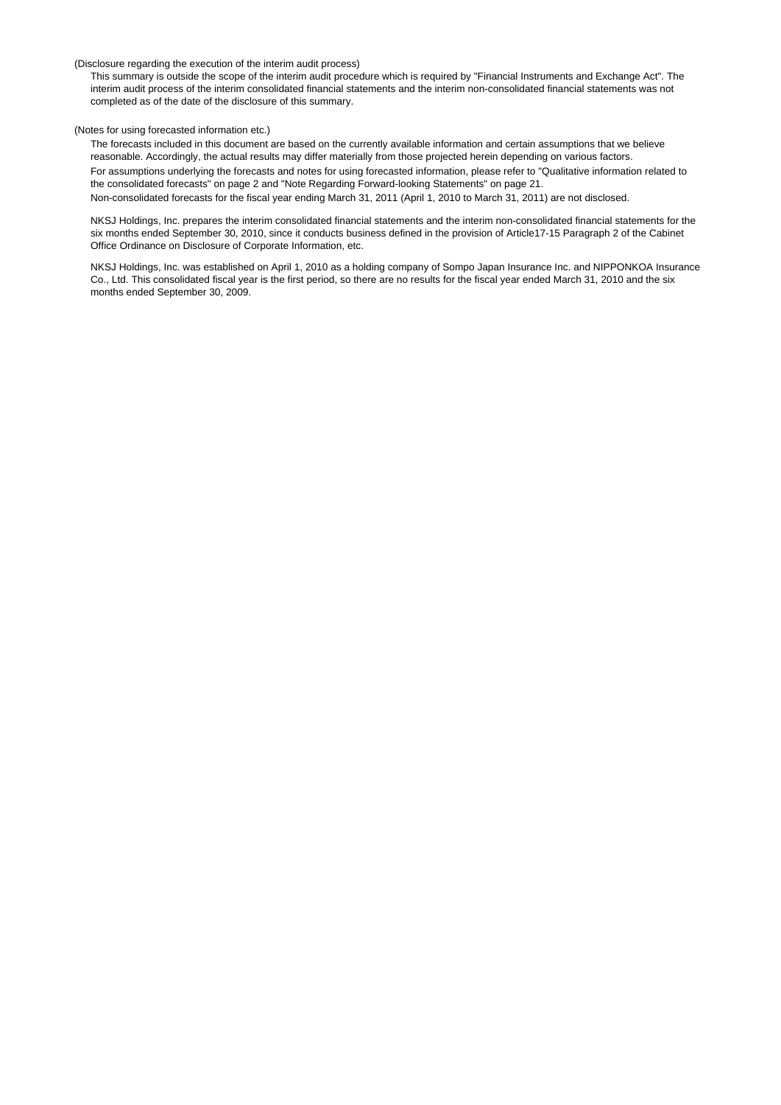#### (Disclosure regarding the execution of the interim audit process)

This summary is outside the scope of the interim audit procedure which is required by "Financial Instruments and Exchange Act". The interim audit process of the interim consolidated financial statements and the interim non-consolidated financial statements was not completed as of the date of the disclosure of this summary.

#### (Notes for using forecasted information etc.)

For assumptions underlying the forecasts and notes for using forecasted information, please refer to "Qualitative information related to the consolidated forecasts" on page 2 and "Note Regarding Forward-looking Statements" on page 21. Non-consolidated forecasts for the fiscal year ending March 31, 2011 (April 1, 2010 to March 31, 2011) are not disclosed. The forecasts included in this document are based on the currently available information and certain assumptions that we believe reasonable. Accordingly, the actual results may differ materially from those projected herein depending on various factors.

NKSJ Holdings, Inc. prepares the interim consolidated financial statements and the interim non-consolidated financial statements for the six months ended September 30, 2010, since it conducts business defined in the provision of Article17-15 Paragraph 2 of the Cabinet Office Ordinance on Disclosure of Corporate Information, etc.

NKSJ Holdings, Inc. was established on April 1, 2010 as a holding company of Sompo Japan Insurance Inc. and NIPPONKOA Insurance Co., Ltd. This consolidated fiscal year is the first period, so there are no results for the fiscal year ended March 31, 2010 and the six months ended September 30, 2009.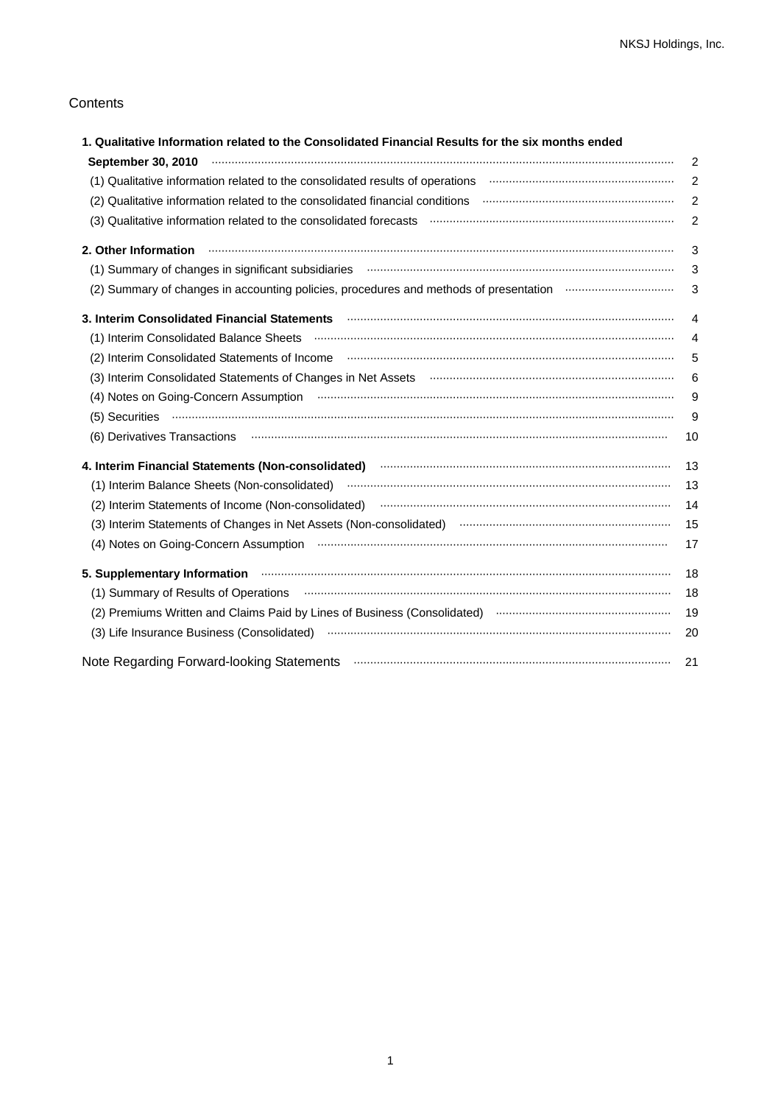### **Contents**

| 1. Qualitative Information related to the Consolidated Financial Results for the six months ended                                                                                                                              |                |
|--------------------------------------------------------------------------------------------------------------------------------------------------------------------------------------------------------------------------------|----------------|
|                                                                                                                                                                                                                                | $\overline{2}$ |
| (1) Qualitative information related to the consolidated results of operations manufacture information related to the consolidated results of operations                                                                        | $\overline{2}$ |
|                                                                                                                                                                                                                                | $\overline{2}$ |
|                                                                                                                                                                                                                                | $\overline{c}$ |
| 2. Other Information                                                                                                                                                                                                           | 3              |
|                                                                                                                                                                                                                                | 3              |
|                                                                                                                                                                                                                                | 3              |
| 3. Interim Consolidated Financial Statements (1999) (2009) (2009) (2009) (2009) (2009) (2009) (2009) (2009) (2009) (2009) (2009) (2009) (2009) (2009) (2009) (2009) (2009) (2009) (2009) (2009) (2009) (2009) (2009) (2009) (2 | $\overline{4}$ |
|                                                                                                                                                                                                                                | $\overline{4}$ |
|                                                                                                                                                                                                                                | 5              |
|                                                                                                                                                                                                                                | 6              |
|                                                                                                                                                                                                                                | 9              |
| $(5)$ Securities $\cdots$                                                                                                                                                                                                      | 9              |
|                                                                                                                                                                                                                                | 10             |
| 4. Interim Financial Statements (Non-consolidated) Manufacture and the interimental statements of                                                                                                                              | 13             |
|                                                                                                                                                                                                                                | 13             |
| (2) Interim Statements of Income (Non-consolidated) manufactured and content to the manufactured (2) Interim Statements of Income (Non-consolidated)                                                                           | 14             |
| (3) Interim Statements of Changes in Net Assets (Non-consolidated) manufactured and statements of Changes in Net Assets (Non-consolidated)                                                                                     | 15             |
|                                                                                                                                                                                                                                | 17             |
| 5. Supplementary Information material contracts and all the set of the set of the set of the set of the set of                                                                                                                 | 18             |
|                                                                                                                                                                                                                                | 18             |
| (2) Premiums Written and Claims Paid by Lines of Business (Consolidated) manual content content content and                                                                                                                    | 19             |
|                                                                                                                                                                                                                                | 20             |
| Note Regarding Forward-looking Statements <b>manufacture and continuum control of the Control Control of Control</b>                                                                                                           | 21             |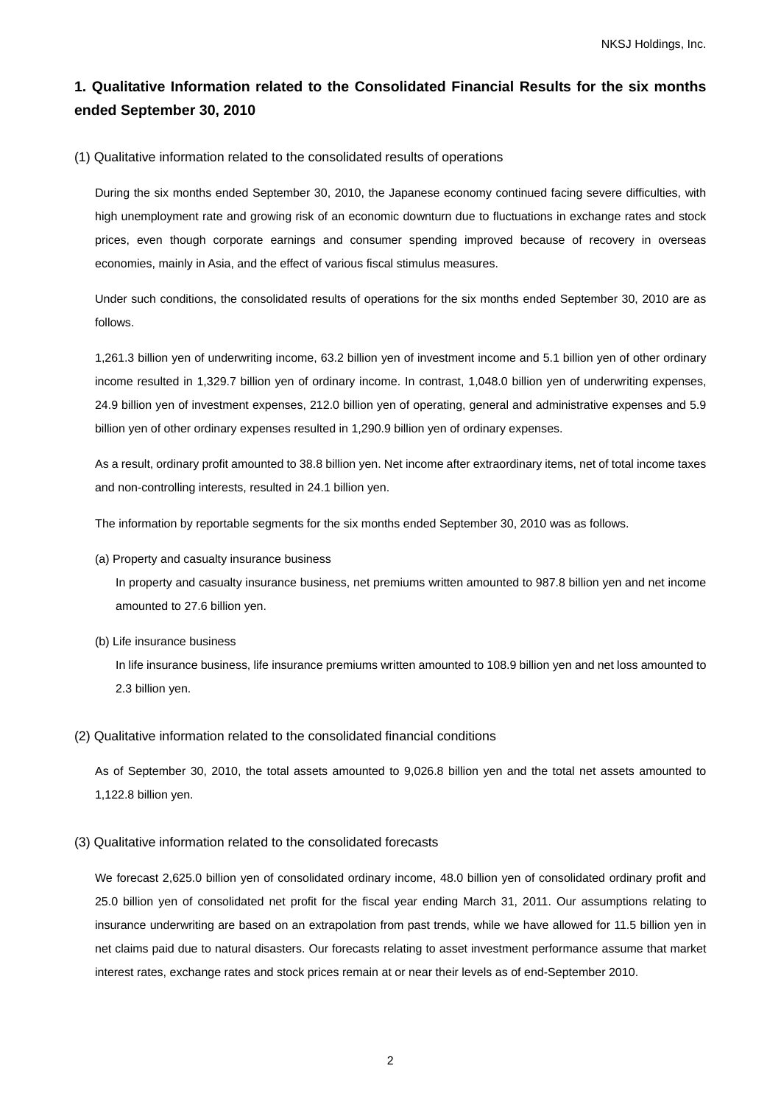## **1. Qualitative Information related to the Consolidated Financial Results for the six months ended September 30, 2010**

(1) Qualitative information related to the consolidated results of operations

During the six months ended September 30, 2010, the Japanese economy continued facing severe difficulties, with high unemployment rate and growing risk of an economic downturn due to fluctuations in exchange rates and stock prices, even though corporate earnings and consumer spending improved because of recovery in overseas economies, mainly in Asia, and the effect of various fiscal stimulus measures.

Under such conditions, the consolidated results of operations for the six months ended September 30, 2010 are as follows.

1,261.3 billion yen of underwriting income, 63.2 billion yen of investment income and 5.1 billion yen of other ordinary income resulted in 1,329.7 billion yen of ordinary income. In contrast, 1,048.0 billion yen of underwriting expenses, 24.9 billion yen of investment expenses, 212.0 billion yen of operating, general and administrative expenses and 5.9 billion yen of other ordinary expenses resulted in 1,290.9 billion yen of ordinary expenses.

As a result, ordinary profit amounted to 38.8 billion yen. Net income after extraordinary items, net of total income taxes and non-controlling interests, resulted in 24.1 billion yen.

The information by reportable segments for the six months ended September 30, 2010 was as follows.

(a) Property and casualty insurance business

In property and casualty insurance business, net premiums written amounted to 987.8 billion yen and net income amounted to 27.6 billion yen.

(b) Life insurance business

In life insurance business, life insurance premiums written amounted to 108.9 billion yen and net loss amounted to 2.3 billion yen.

#### (2) Qualitative information related to the consolidated financial conditions

As of September 30, 2010, the total assets amounted to 9,026.8 billion yen and the total net assets amounted to 1,122.8 billion yen.

#### (3) Qualitative information related to the consolidated forecasts

We forecast 2,625.0 billion yen of consolidated ordinary income, 48.0 billion yen of consolidated ordinary profit and 25.0 billion yen of consolidated net profit for the fiscal year ending March 31, 2011. Our assumptions relating to insurance underwriting are based on an extrapolation from past trends, while we have allowed for 11.5 billion yen in net claims paid due to natural disasters. Our forecasts relating to asset investment performance assume that market interest rates, exchange rates and stock prices remain at or near their levels as of end-September 2010.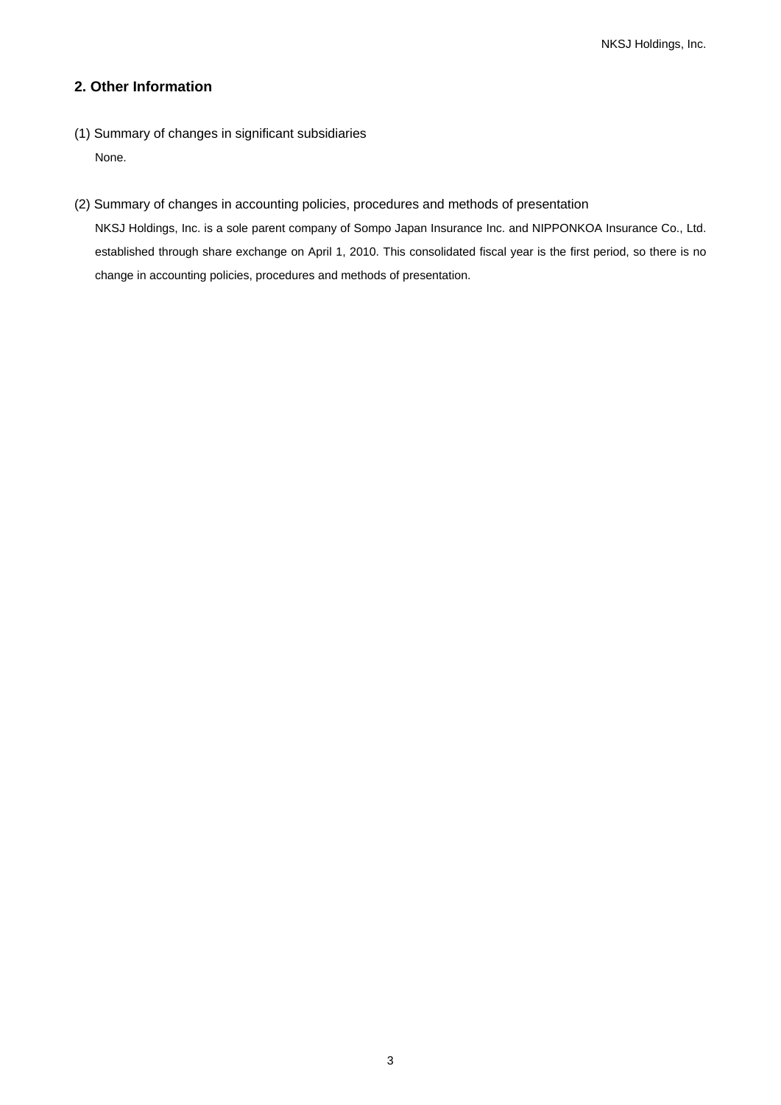### **2. Other Information**

- (1) Summary of changes in significant subsidiaries None.
- (2) Summary of changes in accounting policies, procedures and methods of presentation NKSJ Holdings, Inc. is a sole parent company of Sompo Japan Insurance Inc. and NIPPONKOA Insurance Co., Ltd. established through share exchange on April 1, 2010. This consolidated fiscal year is the first period, so there is no change in accounting policies, procedures and methods of presentation.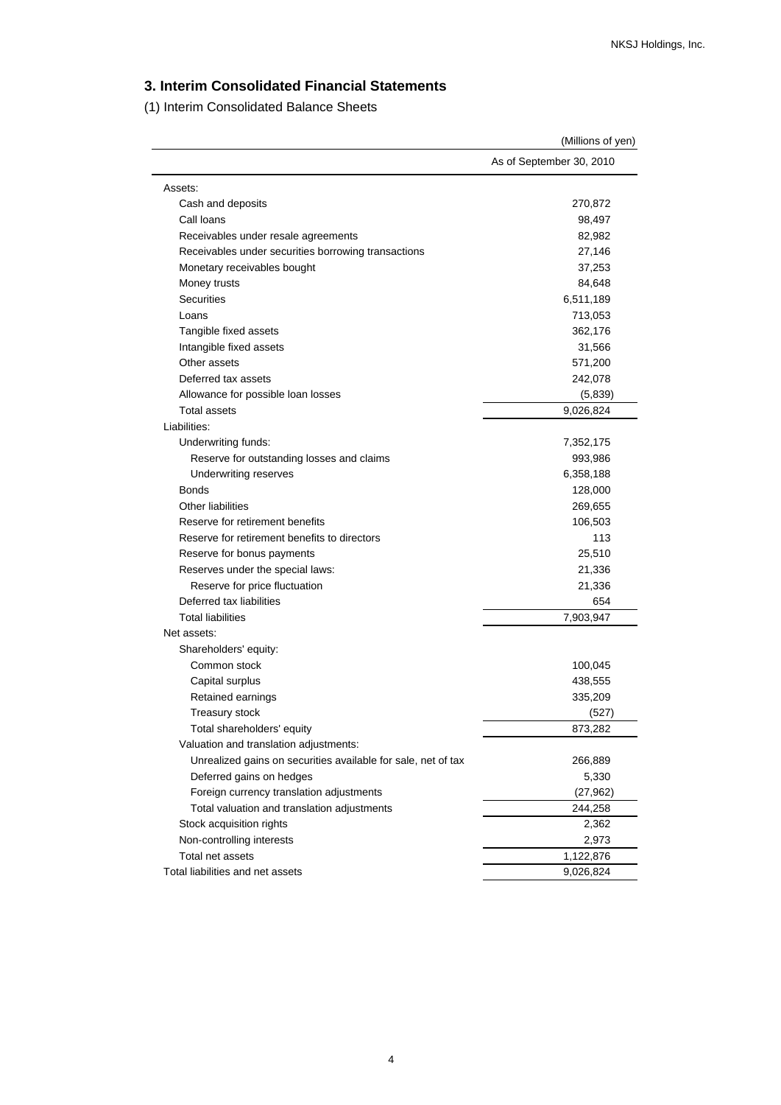## **3. Interim Consolidated Financial Statements**

(1) Interim Consolidated Balance Sheets

|                                                               | (Millions of yen)        |
|---------------------------------------------------------------|--------------------------|
|                                                               | As of September 30, 2010 |
| Assets:                                                       |                          |
| Cash and deposits                                             | 270,872                  |
| Call loans                                                    | 98,497                   |
| Receivables under resale agreements                           | 82,982                   |
| Receivables under securities borrowing transactions           | 27,146                   |
| Monetary receivables bought                                   | 37,253                   |
| Money trusts                                                  | 84,648                   |
| <b>Securities</b>                                             | 6,511,189                |
| Loans                                                         | 713,053                  |
| Tangible fixed assets                                         | 362,176                  |
| Intangible fixed assets                                       | 31,566                   |
| Other assets                                                  | 571,200                  |
| Deferred tax assets                                           | 242,078                  |
| Allowance for possible loan losses                            | (5,839)                  |
| <b>Total assets</b>                                           | 9,026,824                |
| Liabilities:                                                  |                          |
| Underwriting funds:                                           | 7,352,175                |
| Reserve for outstanding losses and claims                     | 993,986                  |
| Underwriting reserves                                         | 6,358,188                |
| <b>Bonds</b>                                                  | 128,000                  |
| <b>Other liabilities</b>                                      | 269,655                  |
| Reserve for retirement benefits                               | 106,503                  |
| Reserve for retirement benefits to directors                  | 113                      |
| Reserve for bonus payments                                    | 25,510                   |
| Reserves under the special laws:                              | 21,336                   |
| Reserve for price fluctuation                                 | 21,336                   |
| Deferred tax liabilities                                      | 654                      |
| <b>Total liabilities</b>                                      | 7,903,947                |
| Net assets:                                                   |                          |
| Shareholders' equity:                                         |                          |
| Common stock                                                  | 100,045                  |
| Capital surplus                                               | 438,555                  |
| Retained earnings                                             | 335,209                  |
| <b>Treasury stock</b>                                         | (527)                    |
| Total shareholders' equity                                    | 873,282                  |
| Valuation and translation adjustments:                        |                          |
| Unrealized gains on securities available for sale, net of tax | 266,889                  |
| Deferred gains on hedges                                      | 5,330                    |
| Foreign currency translation adjustments                      | (27, 962)                |
| Total valuation and translation adjustments                   | 244,258                  |
| Stock acquisition rights                                      | 2,362                    |
| Non-controlling interests                                     | 2,973                    |
| Total net assets                                              | 1,122,876                |
| Total liabilities and net assets                              | 9,026,824                |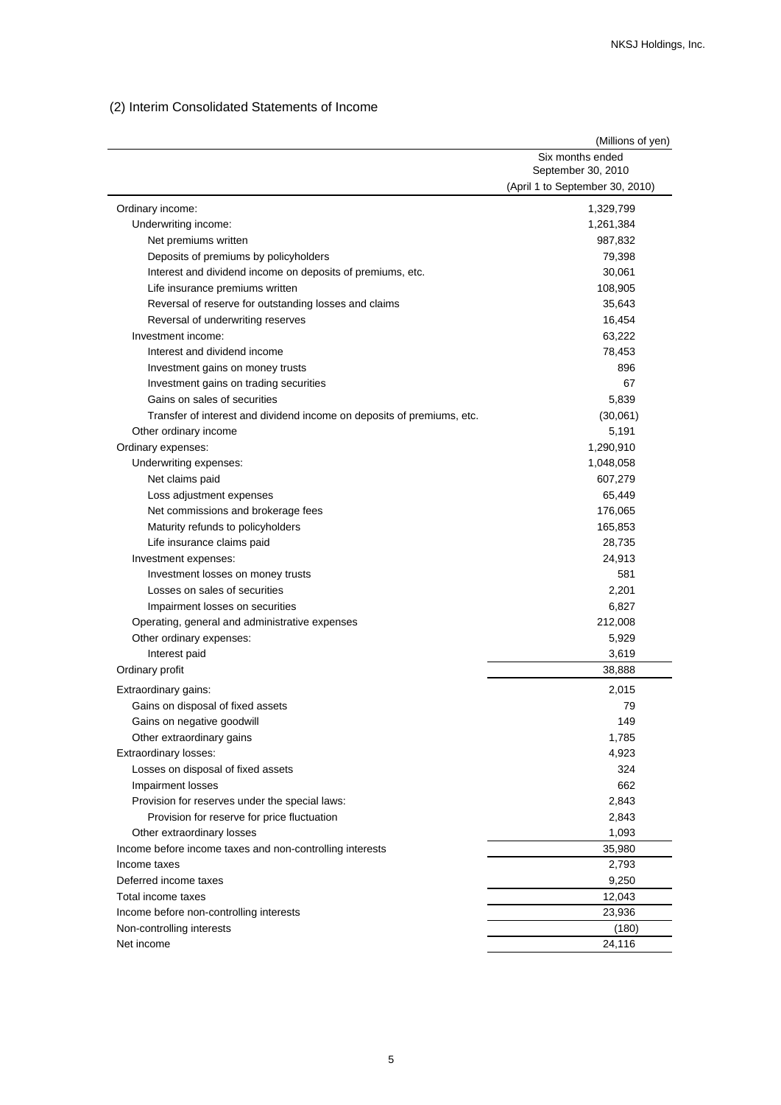## (2) Interim Consolidated Statements of Income

|                                                                        | (Millions of yen)               |
|------------------------------------------------------------------------|---------------------------------|
|                                                                        | Six months ended                |
|                                                                        | September 30, 2010              |
|                                                                        | (April 1 to September 30, 2010) |
| Ordinary income:                                                       | 1,329,799                       |
| Underwriting income:                                                   | 1,261,384                       |
| Net premiums written                                                   | 987,832                         |
| Deposits of premiums by policyholders                                  | 79,398                          |
| Interest and dividend income on deposits of premiums, etc.             | 30,061                          |
| Life insurance premiums written                                        | 108,905                         |
| Reversal of reserve for outstanding losses and claims                  | 35,643                          |
| Reversal of underwriting reserves                                      | 16,454                          |
| Investment income:                                                     | 63,222                          |
| Interest and dividend income                                           | 78,453                          |
| Investment gains on money trusts                                       | 896                             |
| Investment gains on trading securities                                 | 67                              |
| Gains on sales of securities                                           | 5,839                           |
| Transfer of interest and dividend income on deposits of premiums, etc. | (30,061)                        |
| Other ordinary income                                                  | 5,191                           |
| Ordinary expenses:                                                     | 1,290,910                       |
| Underwriting expenses:                                                 | 1,048,058                       |
| Net claims paid                                                        | 607,279                         |
| Loss adjustment expenses                                               | 65,449                          |
| Net commissions and brokerage fees                                     | 176,065                         |
| Maturity refunds to policyholders                                      | 165,853                         |
| Life insurance claims paid                                             | 28,735                          |
| Investment expenses:                                                   | 24,913                          |
| Investment losses on money trusts                                      | 581                             |
| Losses on sales of securities                                          | 2,201                           |
| Impairment losses on securities                                        | 6,827                           |
| Operating, general and administrative expenses                         | 212,008                         |
| Other ordinary expenses:                                               | 5,929                           |
| Interest paid                                                          | 3,619                           |
| Ordinary profit                                                        | 38,888                          |
|                                                                        |                                 |
| Extraordinary gains:                                                   | 2,015<br>79                     |
| Gains on disposal of fixed assets                                      | 149                             |
| Gains on negative goodwill                                             |                                 |
| Other extraordinary gains                                              | 1,785                           |
| Extraordinary losses:                                                  | 4,923<br>324                    |
| Losses on disposal of fixed assets                                     | 662                             |
| Impairment losses<br>Provision for reserves under the special laws:    |                                 |
|                                                                        | 2,843                           |
| Provision for reserve for price fluctuation                            | 2,843                           |
| Other extraordinary losses                                             | 1,093                           |
| Income before income taxes and non-controlling interests               | 35,980                          |
| Income taxes                                                           | 2,793                           |
| Deferred income taxes                                                  | 9,250                           |
| Total income taxes                                                     | 12,043                          |
| Income before non-controlling interests                                | 23,936                          |
| Non-controlling interests                                              | (180)                           |
| Net income                                                             | 24,116                          |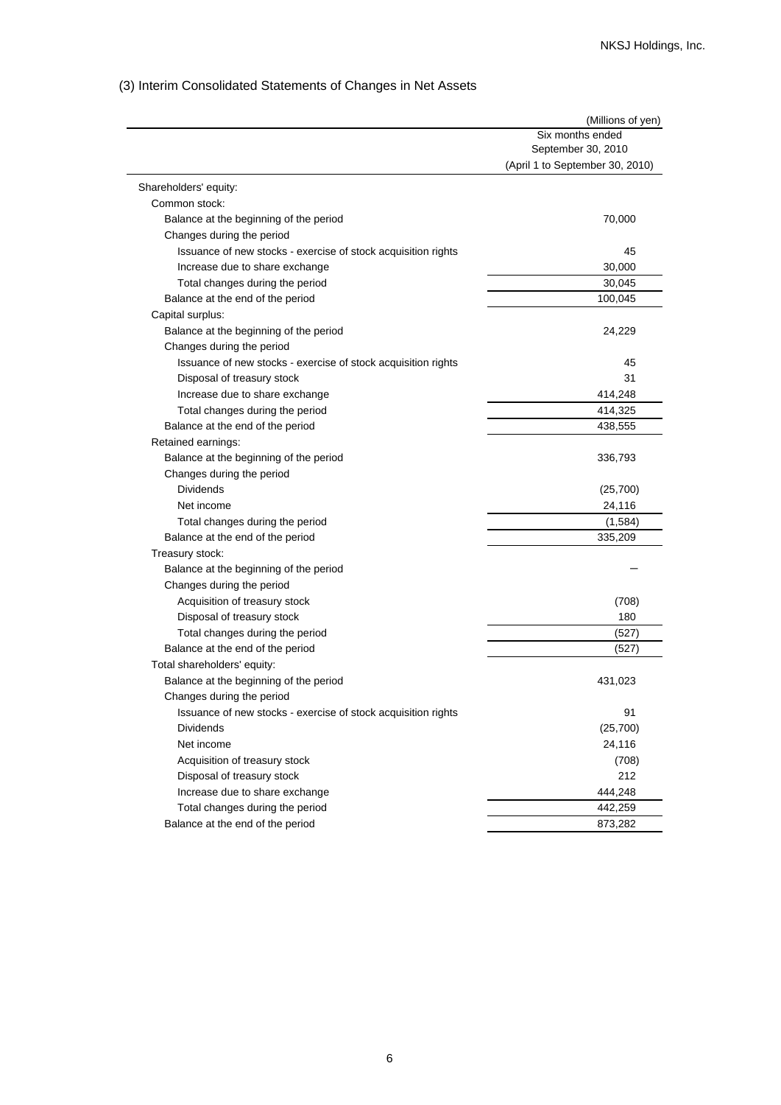## (3) Interim Consolidated Statements of Changes in Net Assets

|                                                               | (Millions of yen)               |
|---------------------------------------------------------------|---------------------------------|
|                                                               | Six months ended                |
|                                                               | September 30, 2010              |
|                                                               | (April 1 to September 30, 2010) |
| Shareholders' equity:                                         |                                 |
| Common stock:                                                 |                                 |
| Balance at the beginning of the period                        | 70,000                          |
| Changes during the period                                     |                                 |
| Issuance of new stocks - exercise of stock acquisition rights | 45                              |
| Increase due to share exchange                                | 30,000                          |
| Total changes during the period                               | 30,045                          |
| Balance at the end of the period                              | 100,045                         |
| Capital surplus:                                              |                                 |
| Balance at the beginning of the period                        | 24,229                          |
| Changes during the period                                     |                                 |
| Issuance of new stocks - exercise of stock acquisition rights | 45                              |
| Disposal of treasury stock                                    | 31                              |
| Increase due to share exchange                                | 414,248                         |
| Total changes during the period                               | 414,325                         |
| Balance at the end of the period                              | 438,555                         |
| Retained earnings:                                            |                                 |
| Balance at the beginning of the period                        | 336,793                         |
| Changes during the period                                     |                                 |
| <b>Dividends</b>                                              | (25,700)                        |
| Net income                                                    | 24,116                          |
| Total changes during the period                               | (1,584)                         |
| Balance at the end of the period                              | 335,209                         |
| Treasury stock:                                               |                                 |
| Balance at the beginning of the period                        |                                 |
| Changes during the period                                     |                                 |
| Acquisition of treasury stock                                 | (708)                           |
| Disposal of treasury stock                                    | 180                             |
| Total changes during the period                               | (527)                           |
| Balance at the end of the period                              | (527)                           |
| Total shareholders' equity:                                   |                                 |
| Balance at the beginning of the period                        | 431,023                         |
| Changes during the period                                     |                                 |
| Issuance of new stocks - exercise of stock acquisition rights | 91                              |
| <b>Dividends</b>                                              | (25,700)                        |
| Net income                                                    | 24,116                          |
| Acquisition of treasury stock                                 | (708)                           |
| Disposal of treasury stock                                    | 212                             |
| Increase due to share exchange                                | 444,248                         |
| Total changes during the period                               | 442,259                         |
| Balance at the end of the period                              | 873,282                         |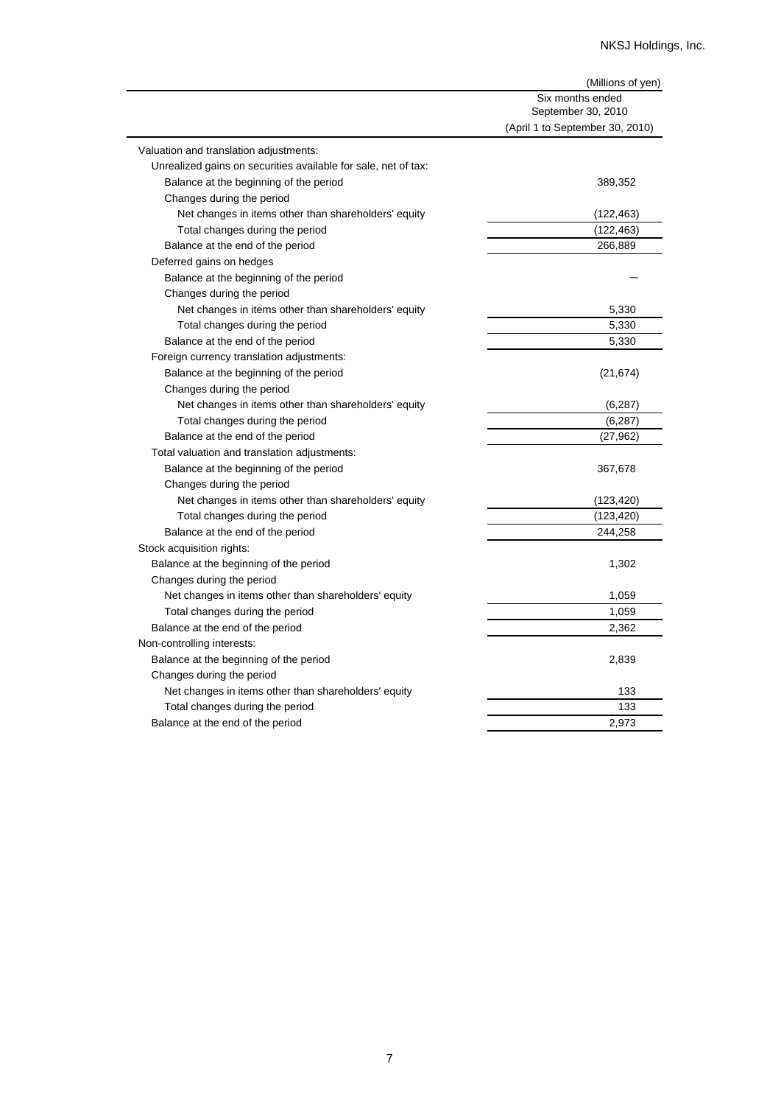|                                                                | (Millions of yen)                      |
|----------------------------------------------------------------|----------------------------------------|
|                                                                | Six months ended<br>September 30, 2010 |
|                                                                | (April 1 to September 30, 2010)        |
| Valuation and translation adjustments:                         |                                        |
| Unrealized gains on securities available for sale, net of tax: |                                        |
| Balance at the beginning of the period                         | 389,352                                |
| Changes during the period                                      |                                        |
| Net changes in items other than shareholders' equity           | (122, 463)                             |
| Total changes during the period                                | (122, 463)                             |
| Balance at the end of the period                               | 266,889                                |
| Deferred gains on hedges                                       |                                        |
| Balance at the beginning of the period                         |                                        |
| Changes during the period                                      |                                        |
| Net changes in items other than shareholders' equity           | 5,330                                  |
| Total changes during the period                                | 5,330                                  |
| Balance at the end of the period                               | 5,330                                  |
| Foreign currency translation adjustments:                      |                                        |
| Balance at the beginning of the period                         | (21, 674)                              |
| Changes during the period                                      |                                        |
| Net changes in items other than shareholders' equity           | (6, 287)                               |
| Total changes during the period                                | (6, 287)                               |
| Balance at the end of the period                               | (27, 962)                              |
| Total valuation and translation adjustments:                   |                                        |
| Balance at the beginning of the period                         | 367,678                                |
| Changes during the period                                      |                                        |
| Net changes in items other than shareholders' equity           | (123, 420)                             |
| Total changes during the period                                | (123, 420)                             |
| Balance at the end of the period                               | 244,258                                |
| Stock acquisition rights:                                      |                                        |
| Balance at the beginning of the period                         | 1,302                                  |
| Changes during the period                                      |                                        |
| Net changes in items other than shareholders' equity           | 1,059                                  |
| Total changes during the period                                | 1,059                                  |
| Balance at the end of the period                               | 2,362                                  |
| Non-controlling interests:                                     |                                        |
| Balance at the beginning of the period                         | 2,839                                  |
| Changes during the period                                      |                                        |
| Net changes in items other than shareholders' equity           | 133                                    |
| Total changes during the period                                | 133                                    |
| Balance at the end of the period                               | 2,973                                  |
|                                                                |                                        |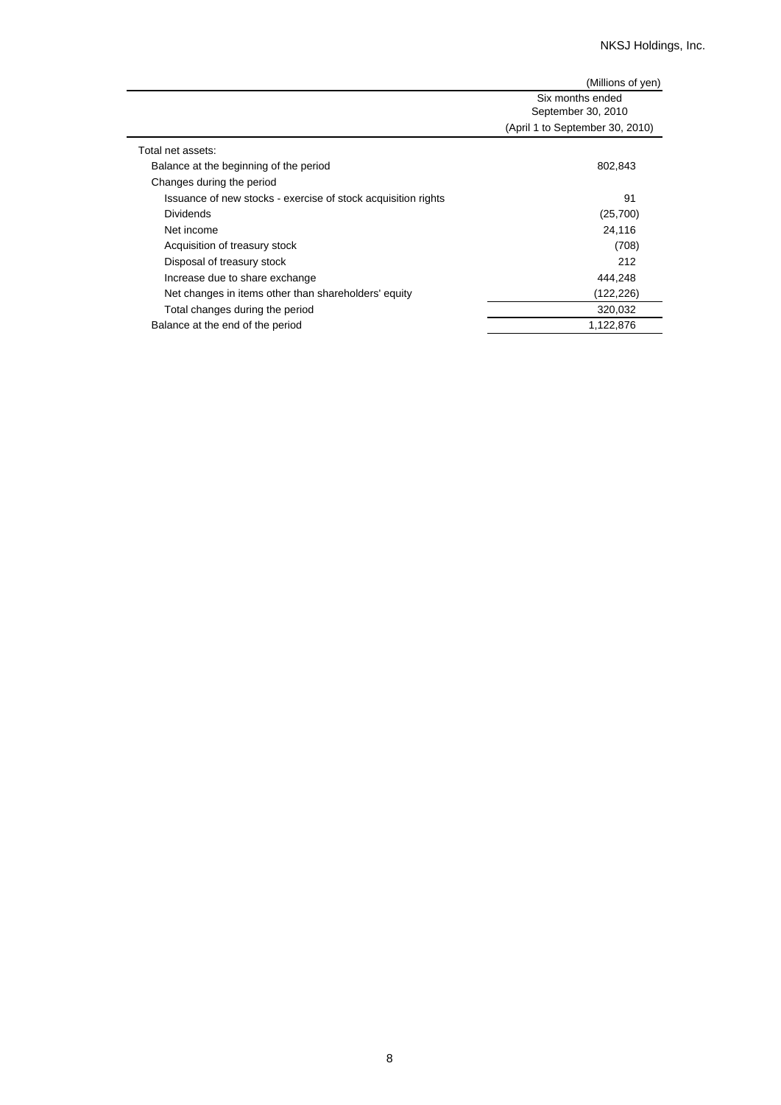|                                                               | (Millions of yen)                      |
|---------------------------------------------------------------|----------------------------------------|
|                                                               | Six months ended<br>September 30, 2010 |
|                                                               | (April 1 to September 30, 2010)        |
| Total net assets:                                             |                                        |
| Balance at the beginning of the period                        | 802,843                                |
| Changes during the period                                     |                                        |
| Issuance of new stocks - exercise of stock acquisition rights | 91                                     |
| <b>Dividends</b>                                              | (25,700)                               |
| Net income                                                    | 24,116                                 |
| Acquisition of treasury stock                                 | (708)                                  |
| Disposal of treasury stock                                    | 212                                    |
| Increase due to share exchange                                | 444,248                                |
| Net changes in items other than shareholders' equity          | (122,226)                              |
| Total changes during the period                               | 320,032                                |
| Balance at the end of the period                              | 1,122,876                              |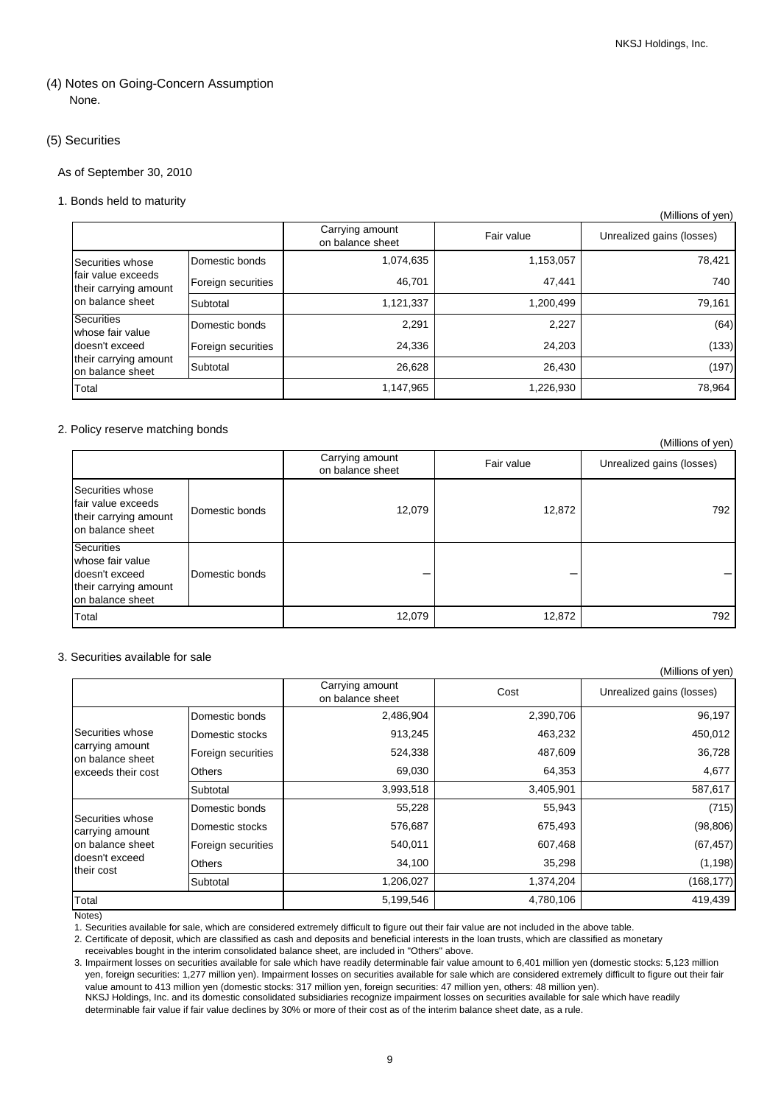$(M)$ llions of  $(on)$ 

### (4) Notes on Going-Concern Assumption None.

#### (5) Securities

As of September 30, 2010

#### 1. Bonds held to maturity

|                                              |                    |                                     |            | (IVIIIIIUIIS UI YEII)     |
|----------------------------------------------|--------------------|-------------------------------------|------------|---------------------------|
|                                              |                    | Carrying amount<br>on balance sheet | Fair value | Unrealized gains (losses) |
| Securities whose                             | Domestic bonds     | 1,074,635                           | 1,153,057  | 78,421                    |
| Ifair value exceeds<br>their carrying amount | Foreign securities | 46,701                              | 47.441     | 740                       |
| on balance sheet                             | Subtotal           | 1,121,337                           | 1,200,499  | 79,161                    |
| <b>Securities</b><br>whose fair value        | Domestic bonds     | 2,291                               | 2,227      | (64)                      |
| doesn't exceed                               | Foreign securities | 24,336                              | 24,203     | (133)                     |
| their carrying amount<br>on balance sheet    | Subtotal           | 26,628                              | 26,430     | (197)                     |
| Total                                        |                    | 1,147,965                           | 1,226,930  | 78,964                    |

#### 2. Policy reserve matching bonds

|                                                                                                      |                |                                     |            | (Millions of yen)         |
|------------------------------------------------------------------------------------------------------|----------------|-------------------------------------|------------|---------------------------|
|                                                                                                      |                | Carrying amount<br>on balance sheet | Fair value | Unrealized gains (losses) |
| Securities whose<br>fair value exceeds<br>their carrying amount<br>on balance sheet                  | Domestic bonds | 12,079                              | 12,872     | 792                       |
| <b>Securities</b><br>whose fair value<br>doesn't exceed<br>their carrying amount<br>on balance sheet | Domestic bonds |                                     |            |                           |
| Total                                                                                                |                | 12,079                              | 12,872     | 792                       |

### 3. Securities available for sale

| (Millions of yen)                   |                    |                                     |           |                           |
|-------------------------------------|--------------------|-------------------------------------|-----------|---------------------------|
|                                     |                    | Carrying amount<br>on balance sheet | Cost      | Unrealized gains (losses) |
|                                     | Domestic bonds     | 2,486,904                           | 2,390,706 | 96,197                    |
| Securities whose                    | Domestic stocks    | 913,245                             | 463,232   | 450,012                   |
| carrying amount<br>on balance sheet | Foreign securities | 524,338                             | 487,609   | 36,728                    |
| exceeds their cost                  | <b>Others</b>      | 69,030                              | 64,353    | 4,677                     |
|                                     | Subtotal           | 3,993,518                           | 3,405,901 | 587,617                   |
|                                     | Domestic bonds     | 55,228                              | 55,943    | (715)                     |
| Securities whose<br>carrying amount | Domestic stocks    | 576,687                             | 675,493   | (98, 806)                 |
| on balance sheet                    | Foreign securities | 540,011                             | 607,468   | (67, 457)                 |
| doesn't exceed<br>their cost        | <b>Others</b>      | 34,100                              | 35,298    | (1, 198)                  |
|                                     | Subtotal           | 1,206,027                           | 1,374,204 | (168, 177)                |
| Total                               |                    | 5,199,546                           | 4,780,106 | 419,439                   |

Notes)

1. Securities available for sale, which are considered extremely difficult to figure out their fair value are not included in the above table.

2. Certificate of deposit, which are classified as cash and deposits and beneficial interests in the loan trusts, which are classified as monetary

receivables bought in the interim consolidated balance sheet, are included in "Others" above.

3. Impairment losses on securities available for sale which have readily determinable fair value amount to 6,401 million yen (domestic stocks: 5,123 million yen, foreign securities: 1,277 million yen). Impairment losses on securities available for sale which are considered extremely difficult to figure out their fair value amount to 413 million yen (domestic stocks: 317 million yen, foreign securities: 47 million yen, others: 48 million yen). NKSJ Holdings, Inc. and its domestic consolidated subsidiaries recognize impairment losses on securities available for sale which have readily determinable fair value if fair value declines by 30% or more of their cost as of the interim balance sheet date, as a rule.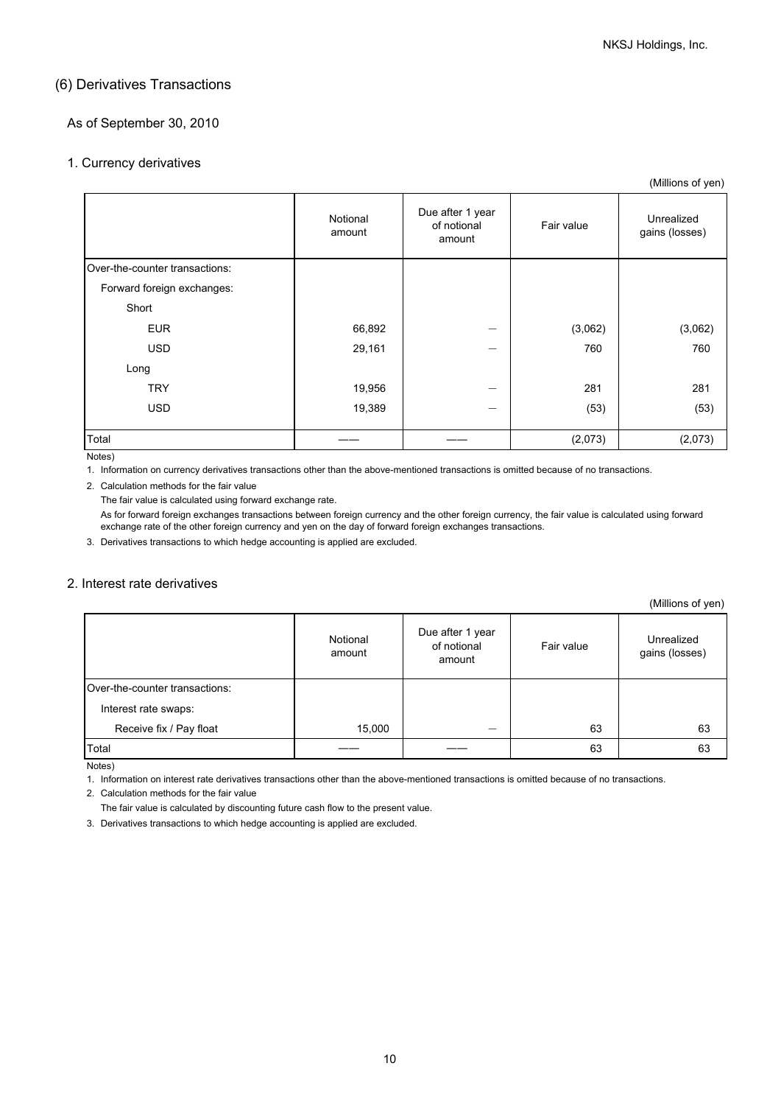### (6) Derivatives Transactions

### As of September 30, 2010

### 1. Currency derivatives

|                                | Notional<br>amount | Due after 1 year<br>of notional<br>amount | Fair value | Unrealized<br>gains (losses) |
|--------------------------------|--------------------|-------------------------------------------|------------|------------------------------|
| Over-the-counter transactions: |                    |                                           |            |                              |
| Forward foreign exchanges:     |                    |                                           |            |                              |
| Short                          |                    |                                           |            |                              |
| <b>EUR</b>                     | 66,892             | -                                         | (3,062)    | (3,062)                      |
| <b>USD</b>                     | 29,161             | –                                         | 760        | 760                          |
| Long                           |                    |                                           |            |                              |
| <b>TRY</b>                     | 19,956             | -                                         | 281        | 281                          |
| <b>USD</b>                     | 19,389             | -                                         | (53)       | (53)                         |
|                                |                    |                                           |            |                              |
| Total                          |                    |                                           | (2,073)    | (2,073)                      |

Notes)

1. Information on currency derivatives transactions other than the above-mentioned transactions is omitted because of no transactions.

2. Calculation methods for the fair value

The fair value is calculated using forward exchange rate.

As for forward foreign exchanges transactions between foreign currency and the other foreign currency, the fair value is calculated using forward exchange rate of the other foreign currency and yen on the day of forward foreign exchanges transactions.

3. Derivatives transactions to which hedge accounting is applied are excluded.

### 2. Interest rate derivatives

| $($ lvilliuolito oli yuli $\mu$ |                    |                                           |            |                              |  |
|---------------------------------|--------------------|-------------------------------------------|------------|------------------------------|--|
|                                 | Notional<br>amount | Due after 1 year<br>of notional<br>amount | Fair value | Unrealized<br>gains (losses) |  |
| Over-the-counter transactions:  |                    |                                           |            |                              |  |
| Interest rate swaps:            |                    |                                           |            |                              |  |
| Receive fix / Pay float         | 15,000             | _                                         | 63         | 63                           |  |
| Total                           |                    |                                           | 63         | 63                           |  |

Notes)

1. Information on interest rate derivatives transactions other than the above-mentioned transactions is omitted because of no transactions.

2. Calculation methods for the fair value

The fair value is calculated by discounting future cash flow to the present value.

3. Derivatives transactions to which hedge accounting is applied are excluded.

(Millions of yen)

| (Millions of yen) |  |
|-------------------|--|
|-------------------|--|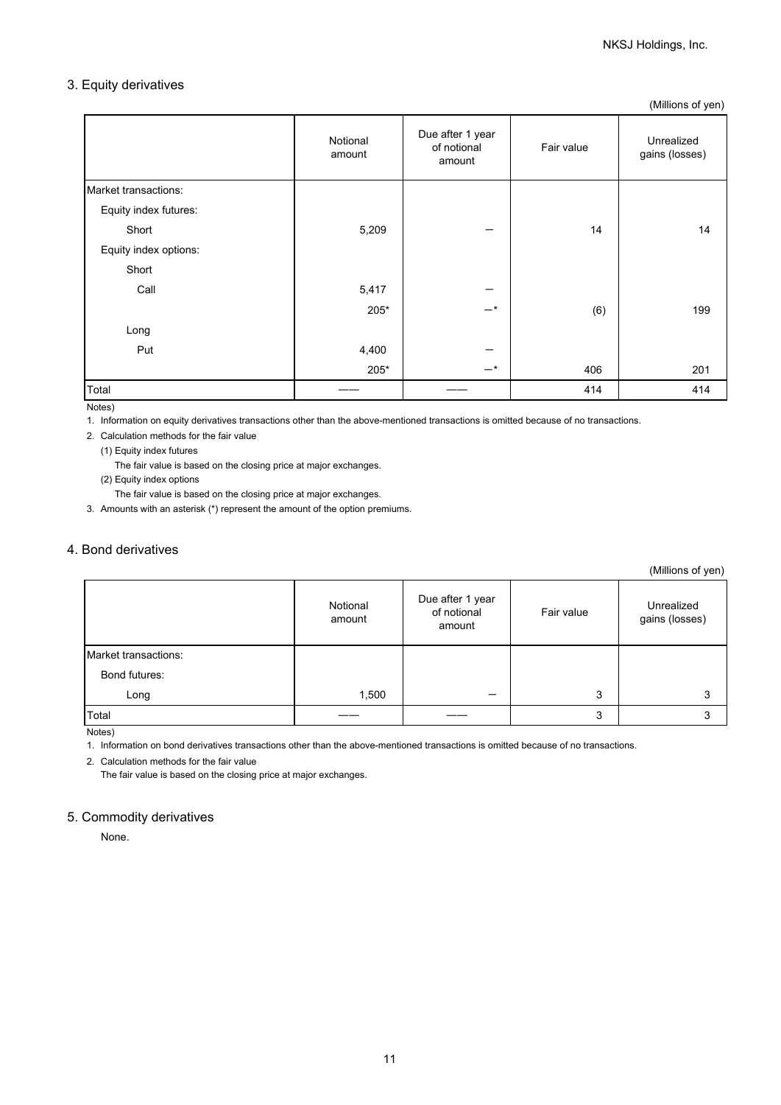### 3. Equity derivatives

(Millions of yen)

|                       | Notional<br>amount | Due after 1 year<br>of notional<br>amount | Fair value | Unrealized<br>gains (losses) |
|-----------------------|--------------------|-------------------------------------------|------------|------------------------------|
| Market transactions:  |                    |                                           |            |                              |
| Equity index futures: |                    |                                           |            |                              |
| Short                 | 5,209              |                                           | 14         | 14                           |
| Equity index options: |                    |                                           |            |                              |
| Short                 |                    |                                           |            |                              |
| Call                  | 5,417              |                                           |            |                              |
|                       | 205*               | $-*$                                      | (6)        | 199                          |
| Long                  |                    |                                           |            |                              |
| Put                   | 4,400              |                                           |            |                              |
|                       | 205*               | $-*$                                      | 406        | 201                          |
| Total                 |                    |                                           | 414        | 414                          |

Notes)

1. Information on equity derivatives transactions other than the above-mentioned transactions is omitted because of no transactions.

2. Calculation methods for the fair value

(1) Equity index futures

The fair value is based on the closing price at major exchanges.

(2) Equity index options

The fair value is based on the closing price at major exchanges.

3. Amounts with an asterisk (\*) represent the amount of the option premiums.

### 4. Bond derivatives

(Millions of yen)

|                      | Notional<br>amount | Due after 1 year<br>of notional<br>amount | Fair value | Unrealized<br>gains (losses) |
|----------------------|--------------------|-------------------------------------------|------------|------------------------------|
| Market transactions: |                    |                                           |            |                              |
| Bond futures:        |                    |                                           |            |                              |
| Long                 | 1,500              | _                                         | 3          | 3                            |
| Total                |                    |                                           | 3          |                              |

Notes)

1. Information on bond derivatives transactions other than the above-mentioned transactions is omitted because of no transactions.

2. Calculation methods for the fair value

The fair value is based on the closing price at major exchanges.

### 5. Commodity derivatives

None.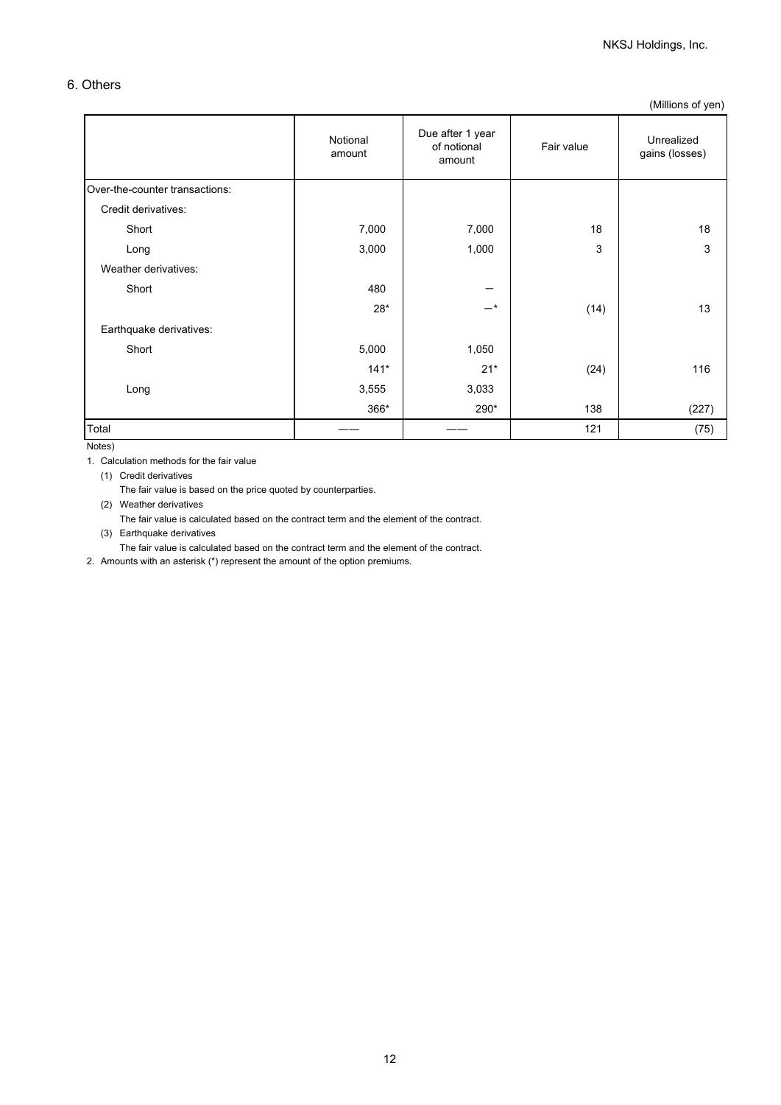### 6. Others

(Millions of yen)

|                                | Notional<br>amount | Due after 1 year<br>of notional<br>amount | Fair value | Unrealized<br>gains (losses) |
|--------------------------------|--------------------|-------------------------------------------|------------|------------------------------|
| Over-the-counter transactions: |                    |                                           |            |                              |
| Credit derivatives:            |                    |                                           |            |                              |
| Short                          | 7,000              | 7,000                                     | 18         | 18                           |
| Long                           | 3,000              | 1,000                                     | 3          | 3                            |
| Weather derivatives:           |                    |                                           |            |                              |
| Short                          | 480                |                                           |            |                              |
|                                | $28*$              | $-*$                                      | (14)       | 13                           |
| Earthquake derivatives:        |                    |                                           |            |                              |
| Short                          | 5,000              | 1,050                                     |            |                              |
|                                | $141*$             | $21*$                                     | (24)       | 116                          |
| Long                           | 3,555              | 3,033                                     |            |                              |
|                                | 366*               | 290*                                      | 138        | (227)                        |
| Total                          |                    |                                           | 121        | (75)                         |

Notes)

1. Calculation methods for the fair value

(1) Credit derivatives

The fair value is based on the price quoted by counterparties.

(2) Weather derivatives

The fair value is calculated based on the contract term and the element of the contract.

(3) Earthquake derivatives

The fair value is calculated based on the contract term and the element of the contract.

2. Amounts with an asterisk (\*) represent the amount of the option premiums.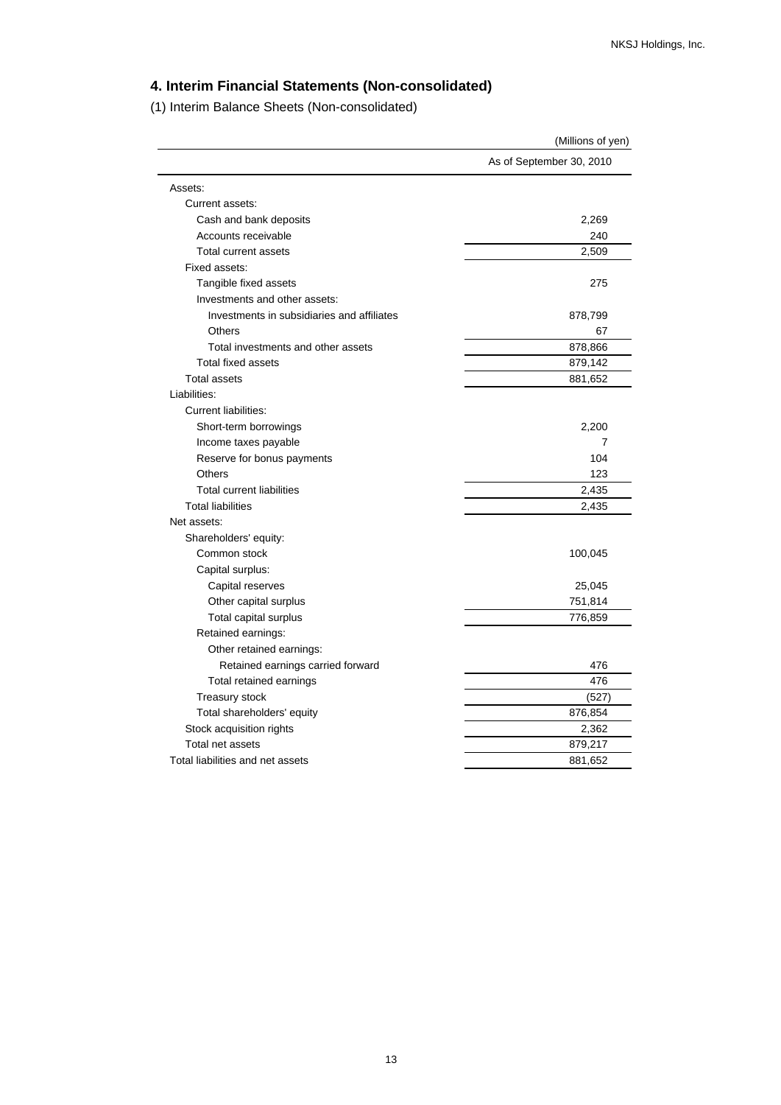## **4. Interim Financial Statements (Non-consolidated)**

(1) Interim Balance Sheets (Non-consolidated)

|                                            | (Millions of yen)        |
|--------------------------------------------|--------------------------|
|                                            | As of September 30, 2010 |
| Assets:                                    |                          |
| Current assets:                            |                          |
| Cash and bank deposits                     | 2,269                    |
| Accounts receivable                        | 240                      |
| <b>Total current assets</b>                | 2,509                    |
| Fixed assets:                              |                          |
| Tangible fixed assets                      | 275                      |
| Investments and other assets:              |                          |
| Investments in subsidiaries and affiliates | 878,799                  |
| Others                                     | 67                       |
| Total investments and other assets         | 878,866                  |
| <b>Total fixed assets</b>                  | 879,142                  |
| <b>Total assets</b>                        | 881,652                  |
| Liabilities:                               |                          |
| <b>Current liabilities:</b>                |                          |
| Short-term borrowings                      | 2,200                    |
| Income taxes payable                       | 7                        |
| Reserve for bonus payments                 | 104                      |
| Others                                     | 123                      |
| <b>Total current liabilities</b>           | 2,435                    |
| <b>Total liabilities</b>                   | 2,435                    |
| Net assets:                                |                          |
| Shareholders' equity:                      |                          |
| Common stock                               | 100,045                  |
| Capital surplus:                           |                          |
| Capital reserves                           | 25,045                   |
| Other capital surplus                      | 751,814                  |
| Total capital surplus                      | 776,859                  |
| Retained earnings:                         |                          |
| Other retained earnings:                   |                          |
| Retained earnings carried forward          | 476                      |
| Total retained earnings                    | 476                      |
| <b>Treasury stock</b>                      | (527)                    |
| Total shareholders' equity                 | 876,854                  |
| Stock acquisition rights                   | 2,362                    |
| Total net assets                           | 879,217                  |
| Total liabilities and net assets           | 881,652                  |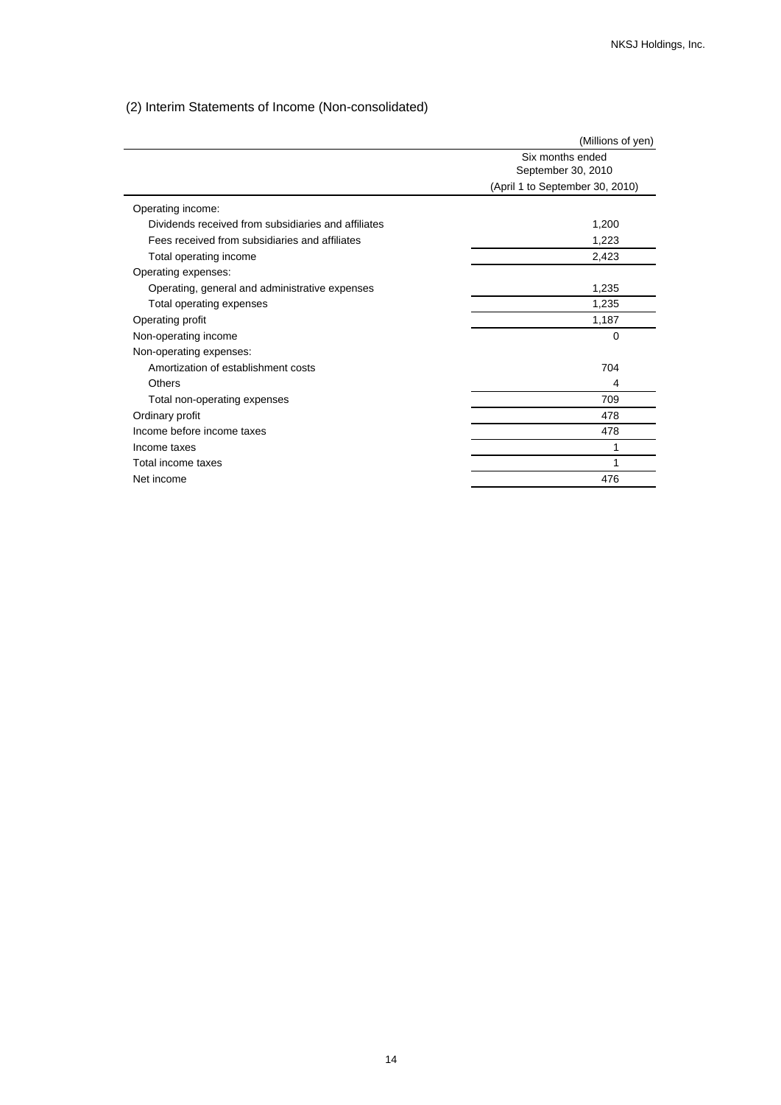## (2) Interim Statements of Income (Non-consolidated)

|                                                     | (Millions of yen)                      |
|-----------------------------------------------------|----------------------------------------|
|                                                     | Six months ended<br>September 30, 2010 |
|                                                     | (April 1 to September 30, 2010)        |
| Operating income:                                   |                                        |
| Dividends received from subsidiaries and affiliates | 1,200                                  |
| Fees received from subsidiaries and affiliates      | 1,223                                  |
| Total operating income                              | 2,423                                  |
| Operating expenses:                                 |                                        |
| Operating, general and administrative expenses      | 1,235                                  |
| Total operating expenses                            | 1,235                                  |
| Operating profit                                    | 1,187                                  |
| Non-operating income                                | $\Omega$                               |
| Non-operating expenses:                             |                                        |
| Amortization of establishment costs                 | 704                                    |
| Others                                              | 4                                      |
| Total non-operating expenses                        | 709                                    |
| Ordinary profit                                     | 478                                    |
| Income before income taxes                          | 478                                    |
| Income taxes                                        | 1                                      |
| Total income taxes                                  | 1                                      |
| Net income                                          | 476                                    |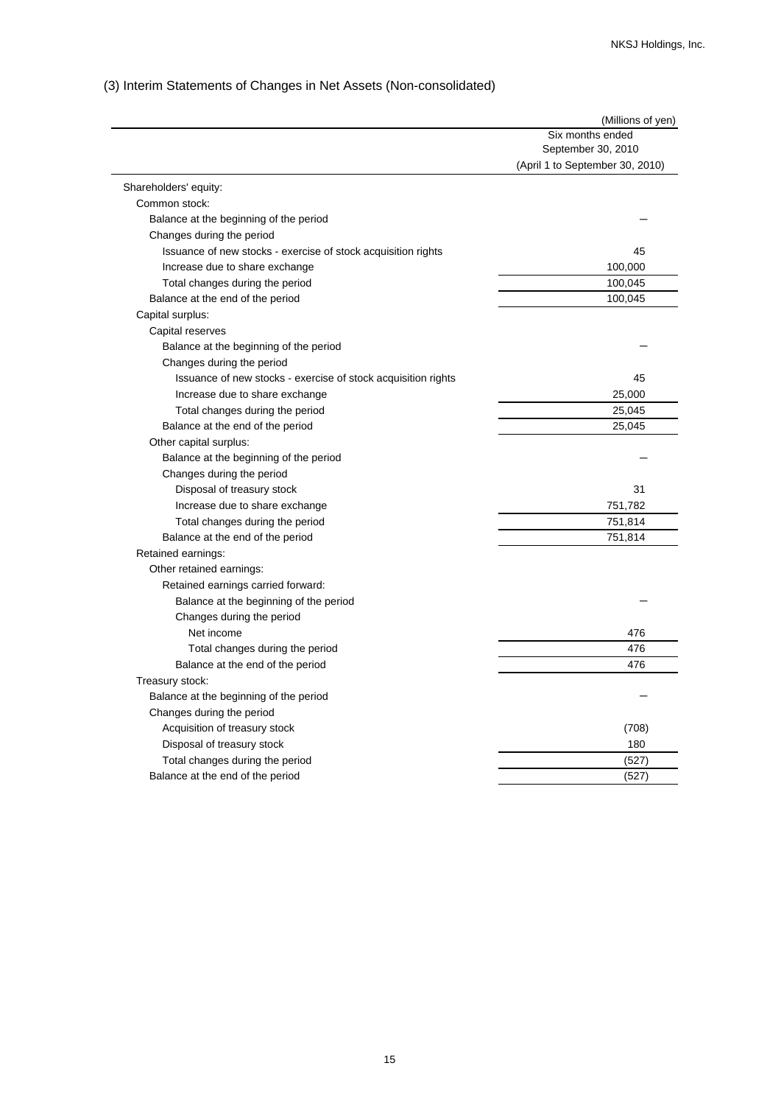## (3) Interim Statements of Changes in Net Assets (Non-consolidated)

|                                                               | (Millions of yen)                      |
|---------------------------------------------------------------|----------------------------------------|
|                                                               | Six months ended<br>September 30, 2010 |
|                                                               | (April 1 to September 30, 2010)        |
| Shareholders' equity:                                         |                                        |
| Common stock:                                                 |                                        |
| Balance at the beginning of the period                        |                                        |
| Changes during the period                                     |                                        |
| Issuance of new stocks - exercise of stock acquisition rights | 45                                     |
| Increase due to share exchange                                | 100,000                                |
| Total changes during the period                               | 100,045                                |
| Balance at the end of the period                              | 100,045                                |
| Capital surplus:                                              |                                        |
| Capital reserves                                              |                                        |
| Balance at the beginning of the period                        |                                        |
| Changes during the period                                     |                                        |
| Issuance of new stocks - exercise of stock acquisition rights | 45                                     |
| Increase due to share exchange                                | 25,000                                 |
| Total changes during the period                               | 25,045                                 |
| Balance at the end of the period                              | 25,045                                 |
| Other capital surplus:                                        |                                        |
| Balance at the beginning of the period                        |                                        |
| Changes during the period                                     |                                        |
| Disposal of treasury stock                                    | 31                                     |
| Increase due to share exchange                                | 751,782                                |
| Total changes during the period                               | 751,814                                |
| Balance at the end of the period                              | 751,814                                |
| Retained earnings:                                            |                                        |
| Other retained earnings:                                      |                                        |
| Retained earnings carried forward:                            |                                        |
| Balance at the beginning of the period                        |                                        |
| Changes during the period                                     |                                        |
| Net income                                                    | 476                                    |
| Total changes during the period                               | 476                                    |
| Balance at the end of the period                              | 476                                    |
| Treasury stock:                                               |                                        |
| Balance at the beginning of the period                        |                                        |
| Changes during the period                                     |                                        |
| Acquisition of treasury stock                                 | (708)                                  |
| Disposal of treasury stock                                    | 180                                    |
| Total changes during the period                               | (527)                                  |
| Balance at the end of the period                              | (527)                                  |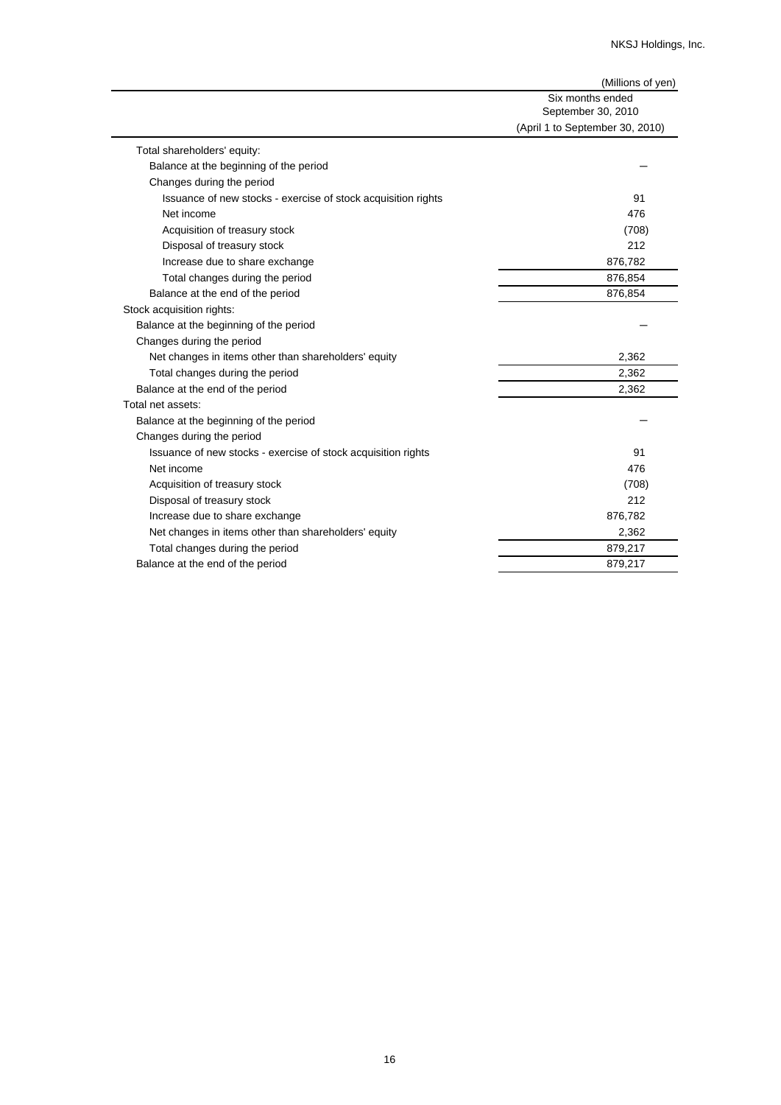|                                                               | (Millions of yen)                      |
|---------------------------------------------------------------|----------------------------------------|
|                                                               | Six months ended<br>September 30, 2010 |
|                                                               | (April 1 to September 30, 2010)        |
| Total shareholders' equity:                                   |                                        |
| Balance at the beginning of the period                        |                                        |
| Changes during the period                                     |                                        |
| Issuance of new stocks - exercise of stock acquisition rights | 91                                     |
| Net income                                                    | 476                                    |
| Acquisition of treasury stock                                 | (708)                                  |
| Disposal of treasury stock                                    | 212                                    |
| Increase due to share exchange                                | 876,782                                |
| Total changes during the period                               | 876,854                                |
| Balance at the end of the period                              | 876,854                                |
| Stock acquisition rights:                                     |                                        |
| Balance at the beginning of the period                        |                                        |
| Changes during the period                                     |                                        |
| Net changes in items other than shareholders' equity          | 2,362                                  |
| Total changes during the period                               | 2,362                                  |
| Balance at the end of the period                              | 2,362                                  |
| Total net assets:                                             |                                        |
| Balance at the beginning of the period                        |                                        |
| Changes during the period                                     |                                        |
| Issuance of new stocks - exercise of stock acquisition rights | 91                                     |
| Net income                                                    | 476                                    |
| Acquisition of treasury stock                                 | (708)                                  |
| Disposal of treasury stock                                    | 212                                    |
| Increase due to share exchange                                | 876,782                                |
| Net changes in items other than shareholders' equity          | 2,362                                  |
| Total changes during the period                               | 879,217                                |
| Balance at the end of the period                              | 879,217                                |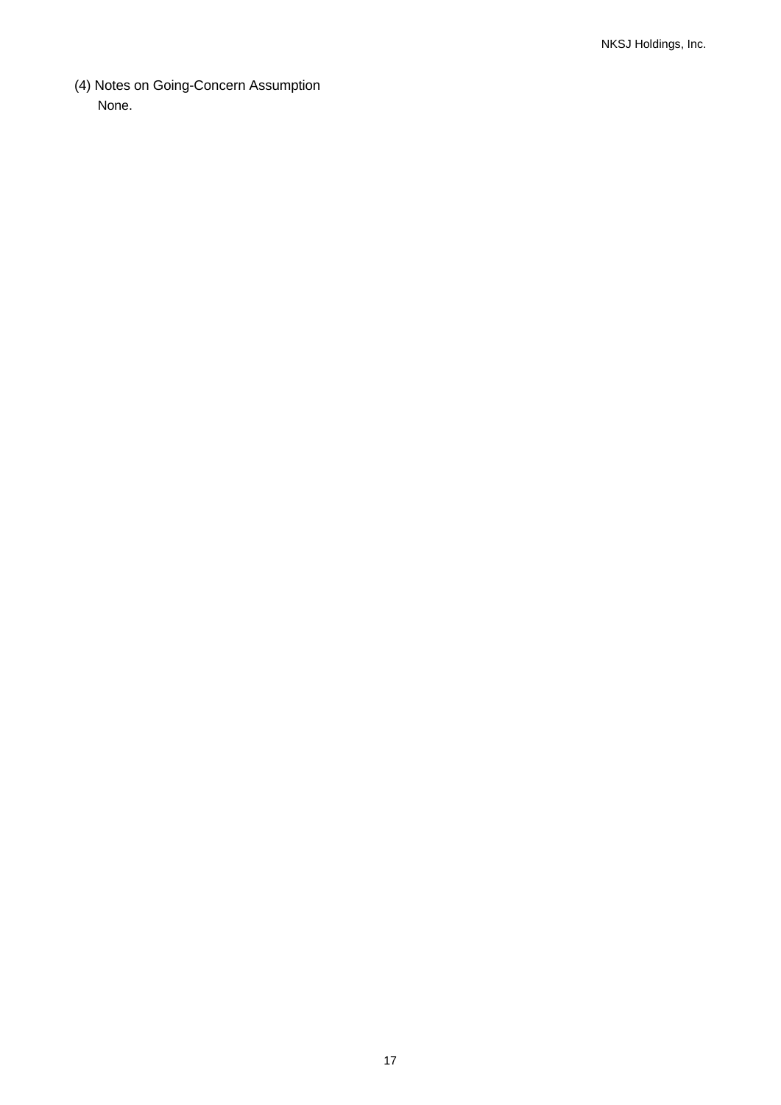(4) Notes on Going-Concern Assumption None.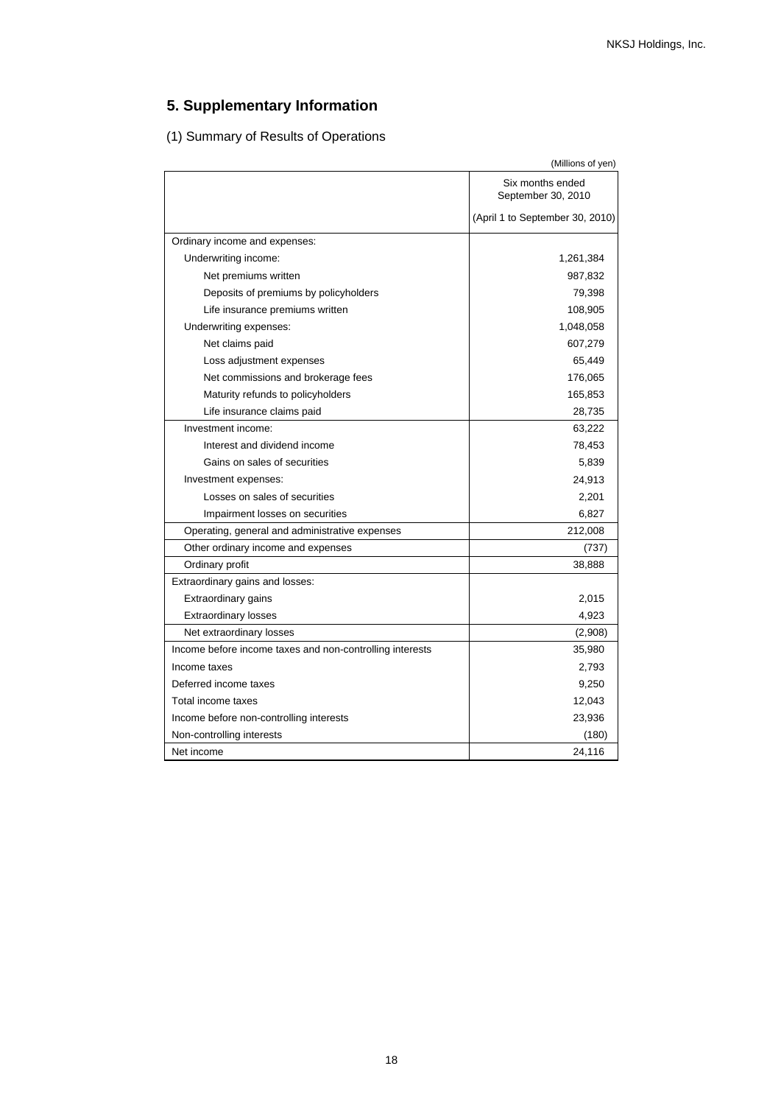# **5. Supplementary Information**

## (1) Summary of Results of Operations

|                                                          | (Millions of yen)                      |
|----------------------------------------------------------|----------------------------------------|
|                                                          | Six months ended<br>September 30, 2010 |
|                                                          | (April 1 to September 30, 2010)        |
| Ordinary income and expenses:                            |                                        |
| Underwriting income:                                     | 1,261,384                              |
| Net premiums written                                     | 987,832                                |
| Deposits of premiums by policyholders                    | 79,398                                 |
| Life insurance premiums written                          | 108,905                                |
| Underwriting expenses:                                   | 1,048,058                              |
| Net claims paid                                          | 607,279                                |
| Loss adjustment expenses                                 | 65,449                                 |
| Net commissions and brokerage fees                       | 176,065                                |
| Maturity refunds to policyholders                        | 165,853                                |
| Life insurance claims paid                               | 28,735                                 |
| Investment income:                                       | 63,222                                 |
| Interest and dividend income                             | 78,453                                 |
| Gains on sales of securities                             | 5,839                                  |
| Investment expenses:                                     | 24,913                                 |
| Losses on sales of securities                            | 2,201                                  |
| Impairment losses on securities                          | 6,827                                  |
| Operating, general and administrative expenses           | 212,008                                |
| Other ordinary income and expenses                       | (737)                                  |
| Ordinary profit                                          | 38,888                                 |
| Extraordinary gains and losses:                          |                                        |
| Extraordinary gains                                      | 2,015                                  |
| <b>Extraordinary losses</b>                              | 4,923                                  |
| Net extraordinary losses                                 | (2,908)                                |
| Income before income taxes and non-controlling interests | 35,980                                 |
| Income taxes                                             | 2,793                                  |
| Deferred income taxes                                    | 9,250                                  |
| Total income taxes                                       | 12,043                                 |
| Income before non-controlling interests                  | 23,936                                 |
| Non-controlling interests                                | (180)                                  |
| Net income                                               | 24,116                                 |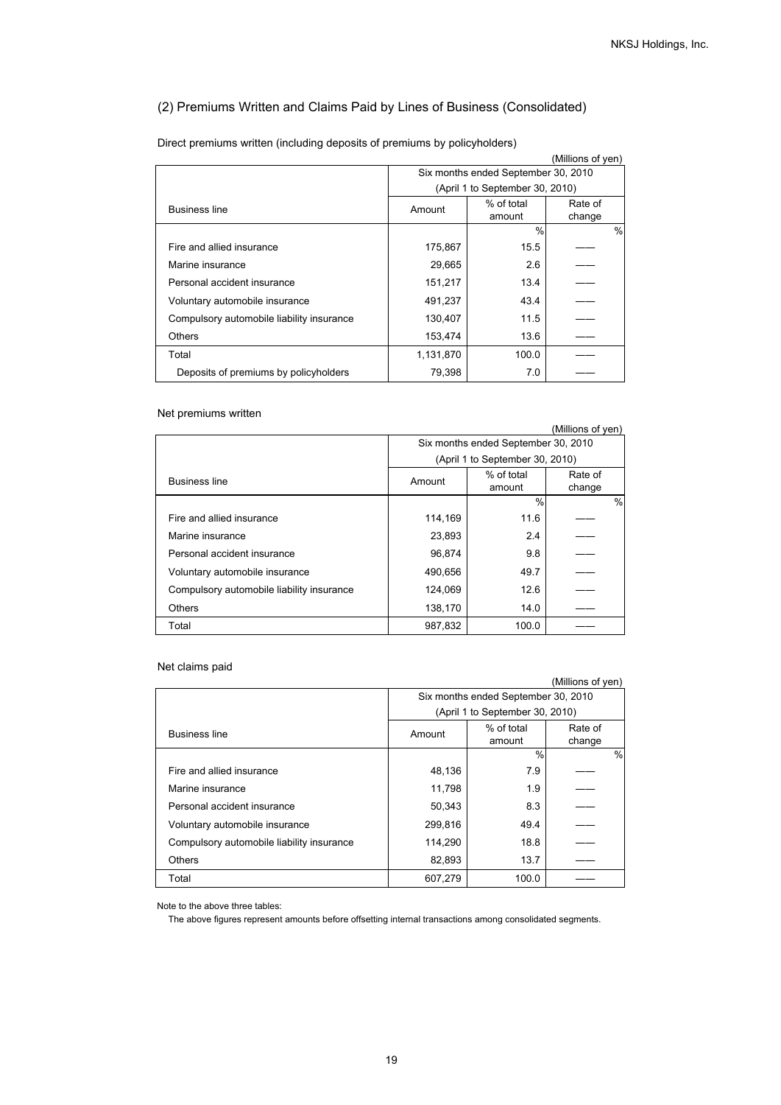## (2) Premiums Written and Claims Paid by Lines of Business (Consolidated)

|                                           |                                     |               | (Millions of yen) |
|-------------------------------------------|-------------------------------------|---------------|-------------------|
|                                           | Six months ended September 30, 2010 |               |                   |
|                                           | (April 1 to September 30, 2010)     |               |                   |
| <b>Business line</b>                      | Amount                              | % of total    | Rate of           |
|                                           |                                     | amount        | change            |
|                                           |                                     | $\frac{0}{0}$ | %                 |
| Fire and allied insurance                 | 175,867                             | 15.5          |                   |
| Marine insurance                          | 29,665                              | 2.6           |                   |
| Personal accident insurance               | 151,217                             | 13.4          |                   |
| Voluntary automobile insurance            | 491,237                             | 43.4          |                   |
| Compulsory automobile liability insurance | 130,407                             | 11.5          |                   |
| <b>Others</b>                             | 153,474                             | 13.6          |                   |
| Total                                     | 1,131,870                           | 100.0         |                   |
| Deposits of premiums by policyholders     | 79,398                              | 7.0           |                   |

Direct premiums written (including deposits of premiums by policyholders)

### Net premiums written

|                                           |                                     |                      | (Millions of yen) |               |
|-------------------------------------------|-------------------------------------|----------------------|-------------------|---------------|
|                                           | Six months ended September 30, 2010 |                      |                   |               |
|                                           | (April 1 to September 30, 2010)     |                      |                   |               |
| <b>Business line</b>                      | Amount                              | % of total<br>amount | Rate of<br>change |               |
|                                           |                                     | $\frac{0}{0}$        |                   | $\frac{0}{0}$ |
| Fire and allied insurance                 | 114,169                             | 11.6                 |                   |               |
| Marine insurance                          | 23,893                              | 2.4                  |                   |               |
| Personal accident insurance               | 96,874                              | 9.8                  |                   |               |
| Voluntary automobile insurance            | 490,656                             | 49.7                 |                   |               |
| Compulsory automobile liability insurance | 124.069                             | 12.6                 |                   |               |
| <b>Others</b>                             | 138,170                             | 14.0                 |                   |               |
| Total                                     | 987,832                             | 100.0                |                   |               |

### Net claims paid

|                                           |                                     |                      | (Millions of yen) |
|-------------------------------------------|-------------------------------------|----------------------|-------------------|
|                                           | Six months ended September 30, 2010 |                      |                   |
|                                           | (April 1 to September 30, 2010)     |                      |                   |
| <b>Business line</b>                      | Amount                              | % of total<br>amount | Rate of<br>change |
|                                           |                                     | $\frac{0}{0}$        | $\frac{0}{0}$     |
| Fire and allied insurance                 | 48,136                              | 7.9                  |                   |
| Marine insurance                          | 11,798                              | 1.9                  |                   |
| Personal accident insurance               | 50,343                              | 8.3                  |                   |
| Voluntary automobile insurance            | 299,816                             | 49.4                 |                   |
| Compulsory automobile liability insurance | 114,290                             | 18.8                 |                   |
| Others                                    | 82,893                              | 13.7                 |                   |
| Total                                     | 607,279                             | 100.0                |                   |

Note to the above three tables:

The above figures represent amounts before offsetting internal transactions among consolidated segments.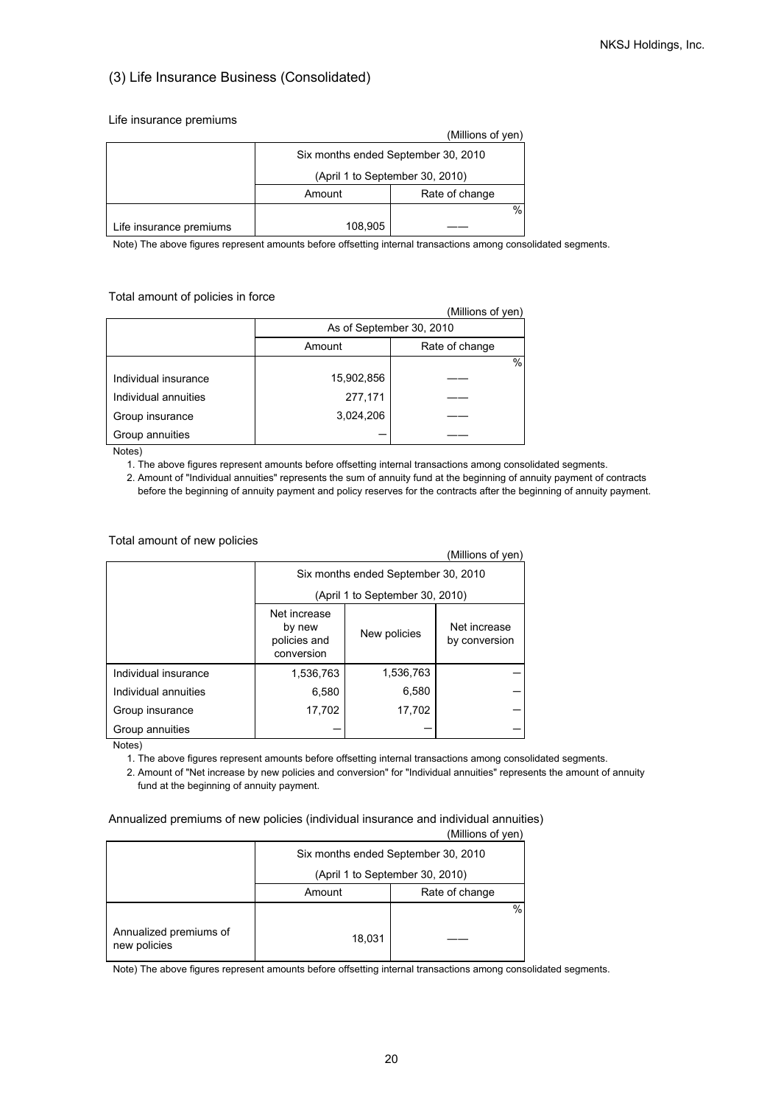### (3) Life Insurance Business (Consolidated)

#### Life insurance premiums

|                         |                                     | (Millions of yen) |  |
|-------------------------|-------------------------------------|-------------------|--|
|                         | Six months ended September 30, 2010 |                   |  |
|                         | (April 1 to September 30, 2010)     |                   |  |
|                         | Rate of change<br>Amount            |                   |  |
|                         |                                     | %                 |  |
| Life insurance premiums | 108,905                             |                   |  |

Note) The above figures represent amounts before offsetting internal transactions among consolidated segments.

#### Total amount of policies in force

|                      |                          | (Millions of yen) |  |
|----------------------|--------------------------|-------------------|--|
|                      | As of September 30, 2010 |                   |  |
|                      | Rate of change<br>Amount |                   |  |
|                      |                          | $\%$              |  |
| Individual insurance | 15,902,856               |                   |  |
| Individual annuities | 277,171                  |                   |  |
| Group insurance      | 3,024,206                |                   |  |
| Group annuities      |                          |                   |  |

Notes)

- 1. The above figures represent amounts before offsetting internal transactions among consolidated segments.
- 2. Amount of "Individual annuities" represents the sum of annuity fund at the beginning of annuity payment of contracts before the beginning of annuity payment and policy reserves for the contracts after the beginning of annuity payment.

#### Total amount of new policies

| (Millions of yen)    |                                                                                                       |           |  |  |
|----------------------|-------------------------------------------------------------------------------------------------------|-----------|--|--|
|                      | Six months ended September 30, 2010                                                                   |           |  |  |
|                      | (April 1 to September 30, 2010)                                                                       |           |  |  |
|                      | Net increase<br>Net increase<br>by new<br>New policies<br>policies and<br>by conversion<br>conversion |           |  |  |
| Individual insurance | 1,536,763                                                                                             | 1,536,763 |  |  |
| Individual annuities | 6,580                                                                                                 | 6,580     |  |  |
| Group insurance      | 17,702                                                                                                | 17,702    |  |  |
| Group annuities      |                                                                                                       |           |  |  |

Notes)

1. The above figures represent amounts before offsetting internal transactions among consolidated segments.

 2. Amount of "Net increase by new policies and conversion" for "Individual annuities" represents the amount of annuity fund at the beginning of annuity payment.

### Annualized premiums of new policies (individual insurance and individual annuities)

|                                        | Six months ended September 30, 2010 |                |
|----------------------------------------|-------------------------------------|----------------|
|                                        | (April 1 to September 30, 2010)     |                |
|                                        | Amount                              | Rate of change |
| Annualized premiums of<br>new policies | 18,031                              | $\%$           |

(Millions of yen)

Note) The above figures represent amounts before offsetting internal transactions among consolidated segments.